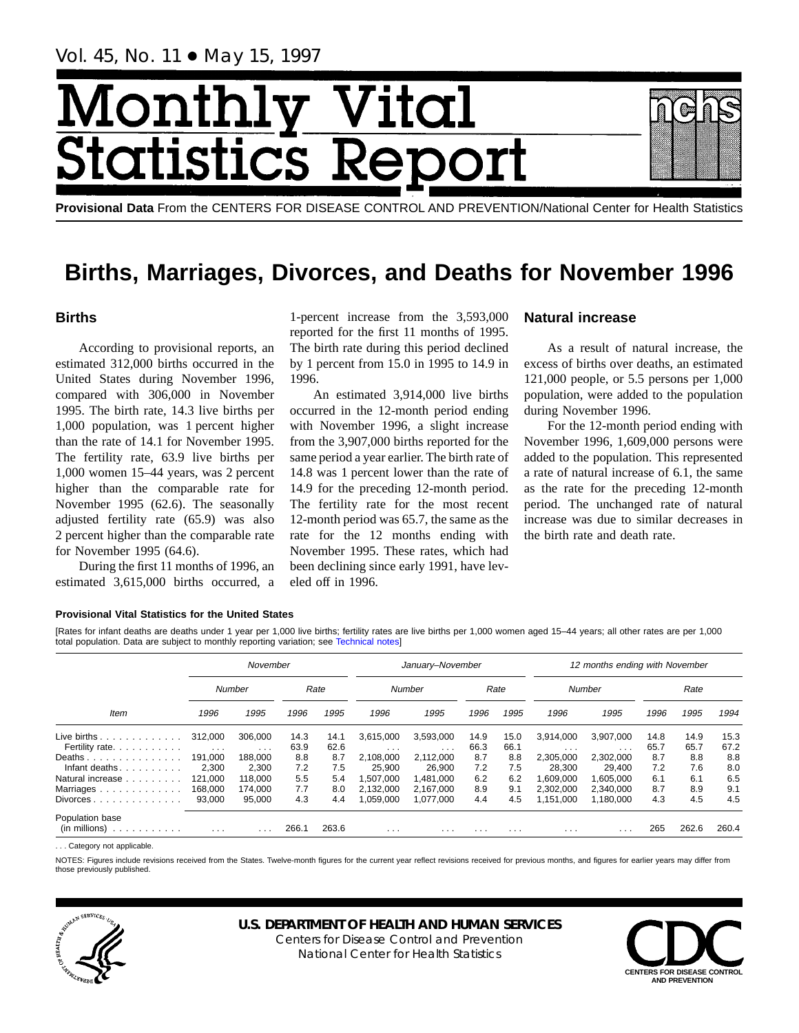Vol. 45, No. 11 ● May 15, 1997

# Month Vital tics R **itatist**

**Provisional Data** From the CENTERS FOR DISEASE CONTROL AND PREVENTION/National Center for Health Statistics

## **Births, Marriages, Divorces, and Deaths for November 1996**

## **Births**

According to provisional reports, an estimated 312,000 births occurred in the United States during November 1996, compared with 306,000 in November 1995. The birth rate, 14.3 live births per 1,000 population, was 1 percent higher than the rate of 14.1 for November 1995. The fertility rate, 63.9 live births per 1,000 women 15–44 years, was 2 percent higher than the comparable rate for November 1995 (62.6). The seasonally adjusted fertility rate (65.9) was also 2 percent higher than the comparable rate for November 1995 (64.6).

During the first 11 months of 1996, an estimated 3,615,000 births occurred, a

1-percent increase from the 3,593,000 reported for the first 11 months of 1995. The birth rate during this period declined by 1 percent from 15.0 in 1995 to 14.9 in 1996.

An estimated 3,914,000 live births occurred in the 12-month period ending with November 1996, a slight increase from the 3,907,000 births reported for the same period a year earlier. The birth rate of 14.8 was 1 percent lower than the rate of 14.9 for the preceding 12-month period. The fertility rate for the most recent 12-month period was 65.7, the same as the rate for the 12 months ending with November 1995. These rates, which had been declining since early 1991, have leveled off in 1996.

## **Natural increase**

As a result of natural increase, the excess of births over deaths, an estimated 121,000 people, or 5.5 persons per 1,000 population, were added to the population during November 1996.

For the 12-month period ending with November 1996, 1,609,000 persons were added to the population. This represented a rate of natural increase of 6.1, the same as the rate for the preceding 12-month period. The unchanged rate of natural increase was due to similar decreases in the birth rate and death rate.

#### **Provisional Vital Statistics for the United States**

[Rates for infant deaths are deaths under 1 year per 1,000 live births; fertility rates are live births per 1,000 women aged 15–44 years; all other rates are per 1,000 total population. Data are subject to monthly reporting variation; see [Technical notes\]](#page-16-0)

|                                                                    |          | November                |       |       |           | January-November<br>12 months ending with November |      |          |                         |                   |      |       |       |
|--------------------------------------------------------------------|----------|-------------------------|-------|-------|-----------|----------------------------------------------------|------|----------|-------------------------|-------------------|------|-------|-------|
|                                                                    |          | Number                  |       | Rate  |           | <b>Number</b>                                      |      | Rate     |                         | <b>Number</b>     |      | Rate  |       |
| Item                                                               | 1996     | 1995                    | 1996  | 1995  | 1996      | 1995                                               | 1996 | 1995     | 1996                    | 1995              | 1996 | 1995  | 1994  |
| Live births.<br>.                                                  | 312,000  | 306.000                 | 14.3  | 14.1  | 3,615,000 | 3,593,000                                          | 14.9 | 15.0     | 3,914,000               | 3,907,000         | 14.8 | 14.9  | 15.3  |
| Fertility rate.                                                    | $\cdots$ | $\cdot$ $\cdot$ $\cdot$ | 63.9  | 62.6  | $\cdots$  | $\cdots$                                           | 66.3 | 66.1     | $\cdot$ $\cdot$ $\cdot$ | $\sim$ 100 $\sim$ | 65.7 | 65.7  | 67.2  |
| Deaths                                                             | 191.000  | 188.000                 | 8.8   | 8.7   | 2.108.000 | 2,112,000                                          | 8.7  | 8.8      | 2,305,000               | 2,302,000         | 8.7  | 8.8   | 8.8   |
| Infant deaths.                                                     | 2,300    | 2,300                   | 7.2   | 7.5   | 25.900    | 26.900                                             | 7.2  | 7.5      | 28.300                  | 29.400            | 7.2  | 7.6   | 8.0   |
| Natural increase                                                   | 121.000  | 118,000                 | 5.5   | 5.4   | .507.000  | 1,481,000                                          | 6.2  | 6.2      | 1.609.000               | 1.605.000         | 6.1  | 6.1   | 6.5   |
| Marriages                                                          | 168,000  | 174.000                 | 7.7   | 8.0   | 2.132.000 | 2.167.000                                          | 8.9  | 9.1      | 2.302.000               | 2.340.000         | 8.7  | 8.9   | 9.1   |
| $Divorces \ldots \ldots \ldots \ldots$                             | 93.000   | 95.000                  | 4.3   | 4.4   | .059.000  | 1.077.000                                          | 4.4  | 4.5      | 1.151.000               | 1.180.000         | 4.3  | 4.5   | 4.5   |
| Population base<br>$(in \text{ millions}) \dots \dots \dots \dots$ | $\cdots$ | .                       | 266.1 | 263.6 | $\cdots$  | .                                                  | .    | $\cdots$ | $\cdots$                | .                 | 265  | 262.6 | 260.4 |

... Category not applicable

NOTES: Figures include revisions received from the States. Twelve-month figures for the current year reflect revisions received for previous months, and figures for earlier years may differ from those previously published.



## **U.S. DEPARTMENT OF HEALTH AND HUMAN SERVICES**

Centers for Disease Control and Prevention National Center for Health Statistics

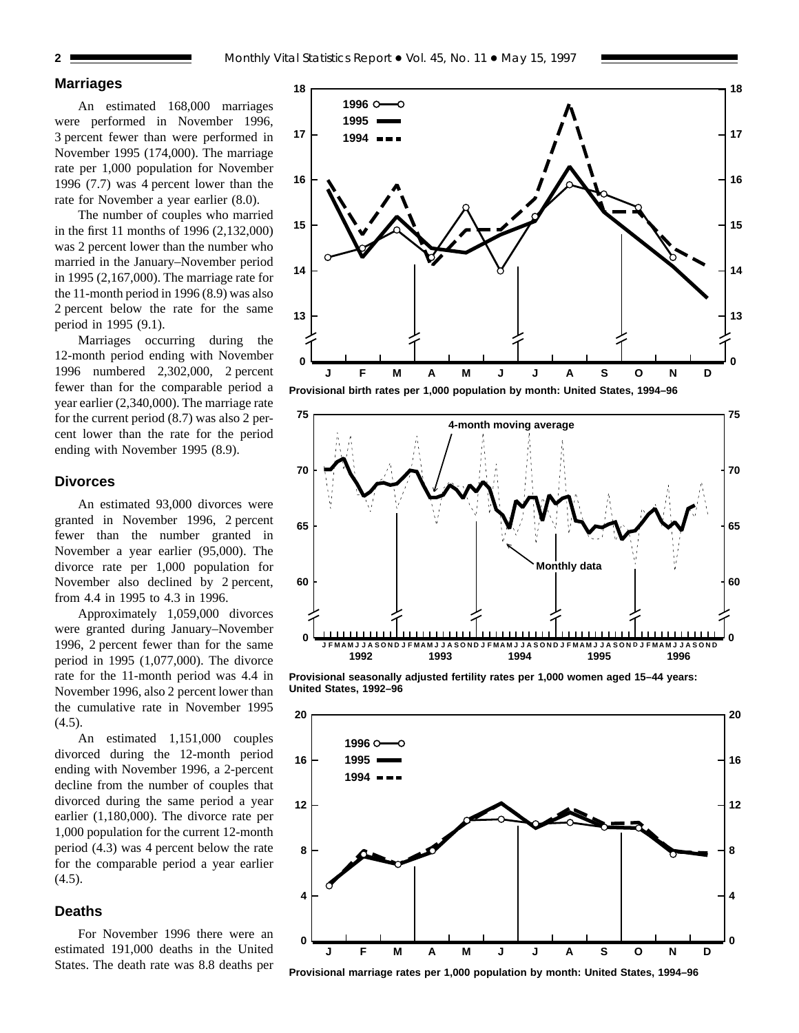ю

**1996 1995 1994**

**16**

**17**

**18**

## **Marriages**

An estimated 168,000 marriages were performed in November 1996, 3 percent fewer than were performed in November 1995 (174,000). The marriage rate per 1,000 population for November 1996 (7.7) was 4 percent lower than the rate for November a year earlier (8.0).

The number of couples who married in the first 11 months of 1996 (2,132,000) was 2 percent lower than the number who married in the January–November period in 1995 (2,167,000). The marriage rate for the 11-month period in 1996 (8.9) was also 2 percent below the rate for the same period in 1995 (9.1).

Marriages occurring during the 12-month period ending with November 1996 numbered 2,302,000, 2 percent fewer than for the comparable period a year earlier (2,340,000). The marriage rate for the current period (8.7) was also 2 percent lower than the rate for the period ending with November 1995 (8.9).

#### **Divorces**

An estimated 93,000 divorces were granted in November 1996, 2 percent fewer than the number granted in November a year earlier (95,000). The divorce rate per 1,000 population for November also declined by 2 percent, from 4.4 in 1995 to 4.3 in 1996.

Approximately 1,059,000 divorces were granted during January–November 1996, 2 percent fewer than for the same period in 1995 (1,077,000). The divorce rate for the 11-month period was 4.4 in November 1996, also 2 percent lower than the cumulative rate in November 1995  $(4.5)$ .

An estimated 1,151,000 couples divorced during the 12-month period ending with November 1996, a 2-percent decline from the number of couples that divorced during the same period a year earlier (1,180,000). The divorce rate per 1,000 population for the current 12-month period (4.3) was 4 percent below the rate for the comparable period a year earlier  $(4.5)$ .

## **Deaths**

For November 1996 there were an estimated 191,000 deaths in the United States. The death rate was 8.8 deaths per





**13**

**14**

**15**

**16**

**17**

**18**

**Provisional seasonally adjusted fertility rates per 1,000 women aged 15–44 years: United States, 1992–96**



**Provisional marriage rates per 1,000 population by month: United States, 1994–96**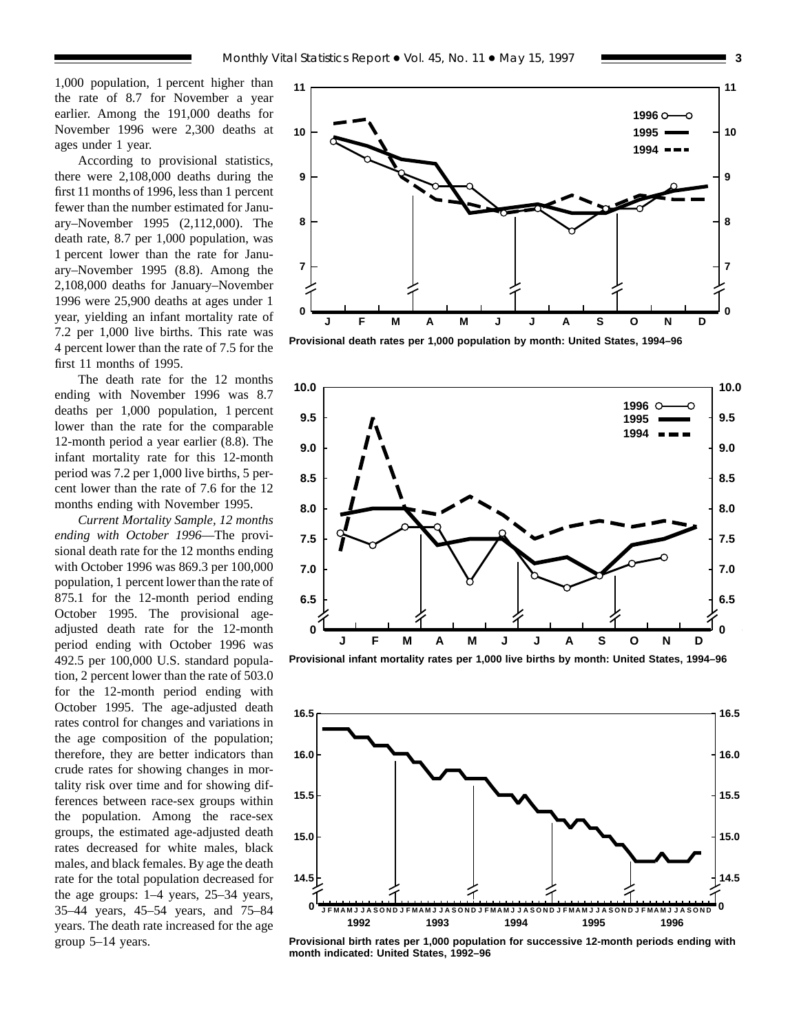1,000 population, 1 percent higher than the rate of 8.7 for November a year earlier. Among the 191,000 deaths for November 1996 were 2,300 deaths at ages under 1 year.

According to provisional statistics, there were 2,108,000 deaths during the first 11 months of 1996, less than 1 percent fewer than the number estimated for January–November 1995 (2,112,000). The death rate, 8.7 per 1,000 population, was 1 percent lower than the rate for January–November 1995 (8.8). Among the 2,108,000 deaths for January–November 1996 were 25,900 deaths at ages under 1 year, yielding an infant mortality rate of 7.2 per 1,000 live births. This rate was 4 percent lower than the rate of 7.5 for the first 11 months of 1995.

The death rate for the 12 months ending with November 1996 was 8.7 deaths per 1,000 population, 1 percent lower than the rate for the comparable 12-month period a year earlier (8.8). The infant mortality rate for this 12-month period was 7.2 per 1,000 live births, 5 percent lower than the rate of 7.6 for the 12 months ending with November 1995.

*Current Mortality Sample, 12 months ending with October 1996*—The provisional death rate for the 12 months ending with October 1996 was 869.3 per 100,000 population, 1 percent lower than the rate of 875.1 for the 12-month period ending October 1995. The provisional ageadjusted death rate for the 12-month period ending with October 1996 was 492.5 per 100,000 U.S. standard population, 2 percent lower than the rate of 503.0 for the 12-month period ending with October 1995. The age-adjusted death rates control for changes and variations in the age composition of the population; therefore, they are better indicators than crude rates for showing changes in mortality risk over time and for showing differences between race-sex groups within the population. Among the race-sex groups, the estimated age-adjusted death rates decreased for white males, black males, and black females. By age the death rate for the total population decreased for the age groups: 1–4 years, 25–34 years, 35–44 years, 45–54 years, and 75–84 years. The death rate increased for the age group 5–14 years.



**Provisional death rates per 1,000 population by month: United States, 1994–96**



**Provisional infant mortality rates per 1,000 live births by month: United States, 1994–96**



**Provisional birth rates per 1,000 population for successive 12-month periods ending with month indicated: United States, 1992–96**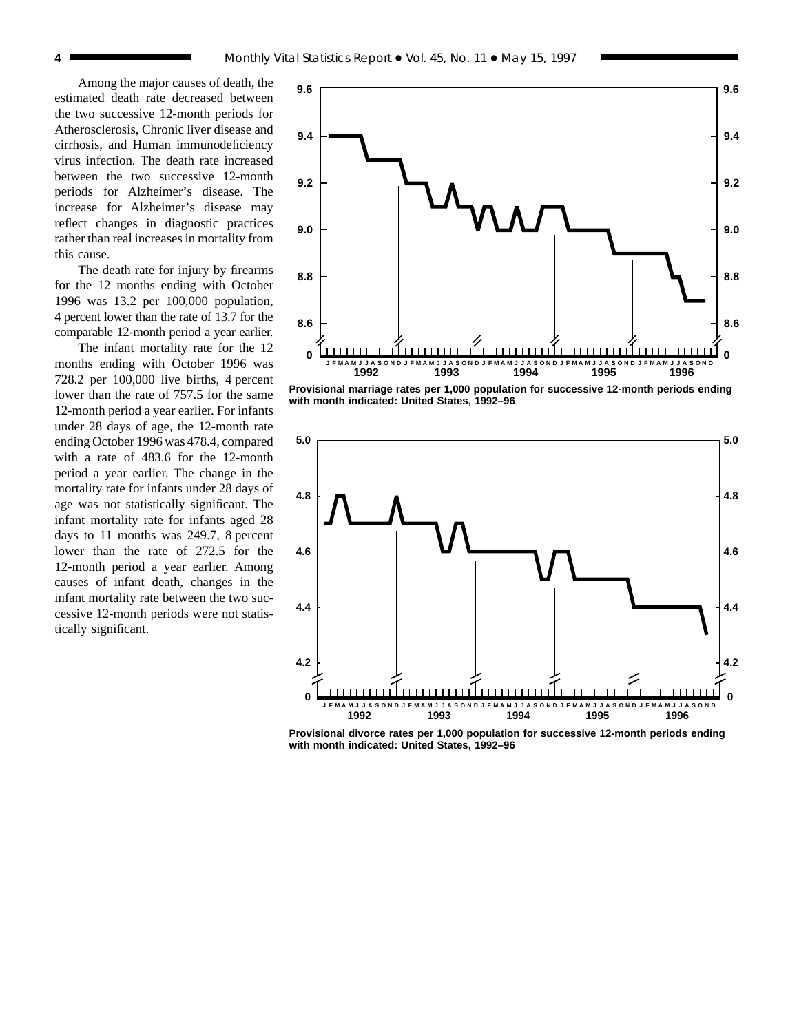Among the major causes of death, the estimated death rate decreased between the two successive 12-month periods for Atherosclerosis, Chronic liver disease and cirrhosis, and Human immunodeficiency virus infection. The death rate increased between the two successive 12-month periods for Alzheimer's disease. The increase for Alzheimer's disease may reflect changes in diagnostic practices rather than real increases in mortality from this cause.

The death rate for injury by firearms for the 12 months ending with October 1996 was 13.2 per 100,000 population, 4 percent lower than the rate of 13.7 for the comparable 12-month period a year earlier.

The infant mortality rate for the 12 months ending with October 1996 was 728.2 per 100,000 live births, 4 percent lower than the rate of 757.5 for the same 12-month period a year earlier. For infants under 28 days of age, the 12-month rate ending October 1996 was 478.4, compared with a rate of 483.6 for the 12-month period a year earlier. The change in the mortality rate for infants under 28 days of age was not statistically significant. The infant mortality rate for infants aged 28 days to 11 months was 249.7, 8 percent lower than the rate of 272.5 for the 12-month period a year earlier. Among causes of infant death, changes in the infant mortality rate between the two successive 12-month periods were not statistically significant.



**Provisional marriage rates per 1,000 population for successive 12-month periods ending with month indicated: United States, 1992–96**



**Provisional divorce rates per 1,000 population for successive 12-month periods ending with month indicated: United States, 1992–96**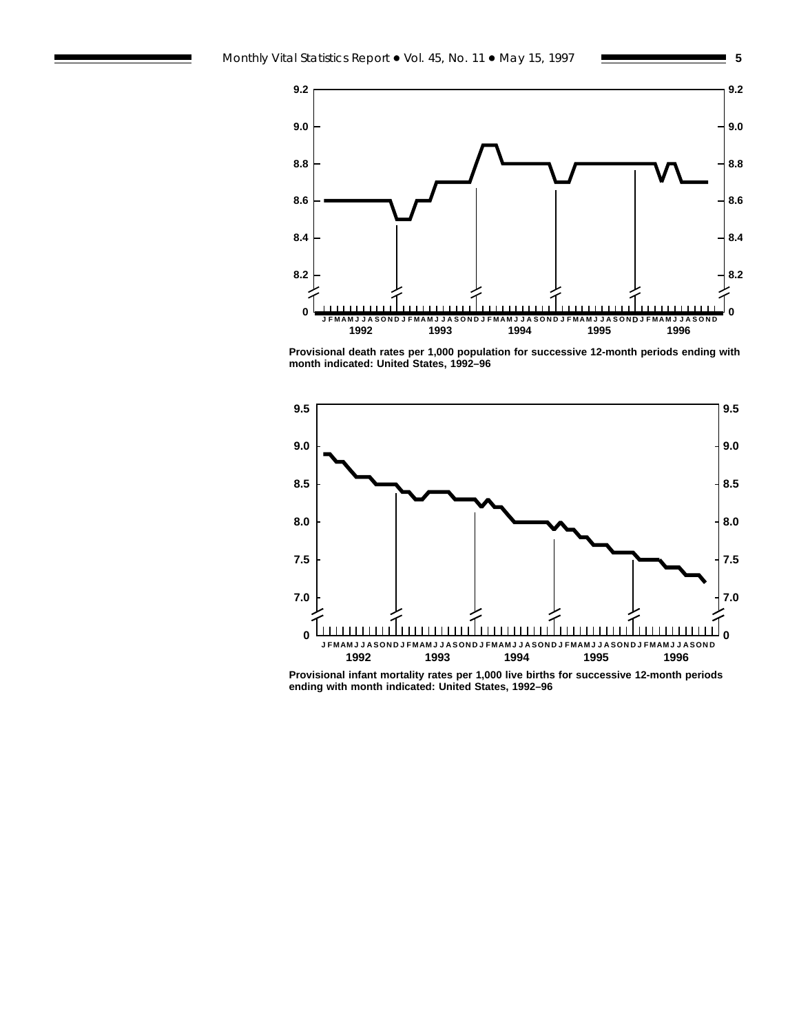



**Provisional death rates per 1,000 population for successive 12-month periods ending with month indicated: United States, 1992–96**



**Provisional infant mortality rates per 1,000 live births for successive 12-month periods ending with month indicated: United States, 1992–96**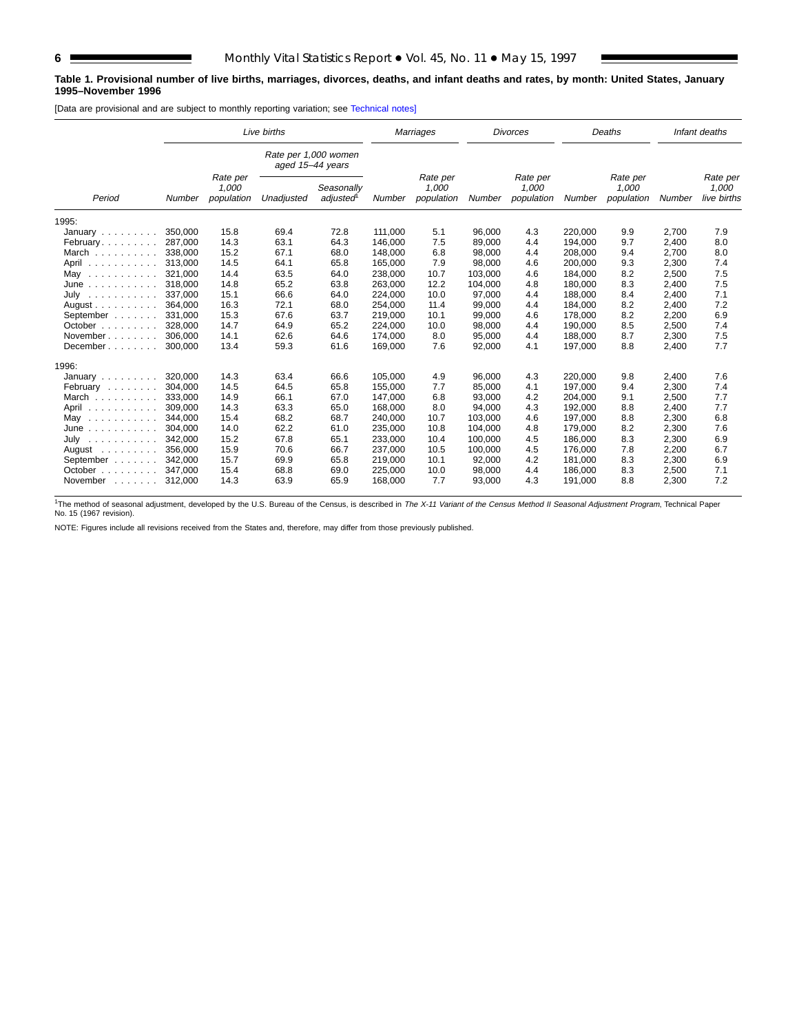#### **Table 1. Provisional number of live births, marriages, divorces, deaths, and infant deaths and rates, by month: United States, January 1995–November 1996**

[Data are provisional and are subject to monthly reporting variation; see [Technical notes\]](#page-16-0)

|                                       |               |                                 | Live births                              |                                     |         | <b>Marriages</b>                |         | <b>Divorces</b>                 |         | Deaths                          |        | Infant deaths                    |
|---------------------------------------|---------------|---------------------------------|------------------------------------------|-------------------------------------|---------|---------------------------------|---------|---------------------------------|---------|---------------------------------|--------|----------------------------------|
|                                       |               |                                 | Rate per 1,000 women<br>aged 15-44 years |                                     |         |                                 |         |                                 |         |                                 |        |                                  |
| Period                                | <b>Number</b> | Rate per<br>1,000<br>population | Unadjusted                               | Seasonally<br>adjusted <sup>1</sup> | Number  | Rate per<br>1,000<br>population | Number  | Rate per<br>1,000<br>population | Number  | Rate per<br>1,000<br>population | Number | Rate per<br>1,000<br>live births |
| 1995:                                 |               |                                 |                                          |                                     |         |                                 |         |                                 |         |                                 |        |                                  |
| January $\ldots$ , $\ldots$           | 350.000       | 15.8                            | 69.4                                     | 72.8                                | 111,000 | 5.1                             | 96,000  | 4.3                             | 220,000 | 9.9                             | 2,700  | 7.9                              |
| February                              | 287.000       | 14.3                            | 63.1                                     | 64.3                                | 146,000 | 7.5                             | 89,000  | 4.4                             | 194,000 | 9.7                             | 2,400  | 8.0                              |
| March                                 | 338.000       | 15.2                            | 67.1                                     | 68.0                                | 148.000 | 6.8                             | 98.000  | 4.4                             | 208.000 | 9.4                             | 2,700  | 8.0                              |
| April<br>.                            | 313.000       | 14.5                            | 64.1                                     | 65.8                                | 165,000 | 7.9                             | 98,000  | 4.6                             | 200.000 | 9.3                             | 2,300  | 7.4                              |
| May<br>.                              | 321,000       | 14.4                            | 63.5                                     | 64.0                                | 238,000 | 10.7                            | 103,000 | 4.6                             | 184,000 | 8.2                             | 2,500  | 7.5                              |
| June<br>.                             | 318,000       | 14.8                            | 65.2                                     | 63.8                                | 263,000 | 12.2                            | 104,000 | 4.8                             | 180,000 | 8.3                             | 2,400  | 7.5                              |
| July<br>.                             | 337.000       | 15.1                            | 66.6                                     | 64.0                                | 224.000 | 10.0                            | 97,000  | 4.4                             | 188.000 | 8.4                             | 2,400  | 7.1                              |
| August $\ldots$ , $\ldots$ , $\ldots$ | 364,000       | 16.3                            | 72.1                                     | 68.0                                | 254,000 | 11.4                            | 99,000  | 4.4                             | 184,000 | 8.2                             | 2,400  | 7.2                              |
| September                             | 331,000       | 15.3                            | 67.6                                     | 63.7                                | 219,000 | 10.1                            | 99,000  | 4.6                             | 178,000 | 8.2                             | 2,200  | 6.9                              |
| October                               | 328,000       | 14.7                            | 64.9                                     | 65.2                                | 224,000 | 10.0                            | 98,000  | 4.4                             | 190,000 | 8.5                             | 2,500  | 7.4                              |
| November                              | 306,000       | 14.1                            | 62.6                                     | 64.6                                | 174,000 | 8.0                             | 95,000  | 4.4                             | 188,000 | 8.7                             | 2,300  | 7.5                              |
| December                              | 300,000       | 13.4                            | 59.3                                     | 61.6                                | 169,000 | 7.6                             | 92,000  | 4.1                             | 197,000 | 8.8                             | 2,400  | 7.7                              |
| 1996:                                 |               |                                 |                                          |                                     |         |                                 |         |                                 |         |                                 |        |                                  |
| January                               | 320,000       | 14.3                            | 63.4                                     | 66.6                                | 105,000 | 4.9                             | 96,000  | 4.3                             | 220,000 | 9.8                             | 2,400  | 7.6                              |
| February                              | 304.000       | 14.5                            | 64.5                                     | 65.8                                | 155.000 | 7.7                             | 85.000  | 4.1                             | 197.000 | 9.4                             | 2,300  | 7.4                              |
| March                                 | 333.000       | 14.9                            | 66.1                                     | 67.0                                | 147.000 | 6.8                             | 93,000  | 4.2                             | 204,000 | 9.1                             | 2,500  | 7.7                              |
| April<br>.                            | 309,000       | 14.3                            | 63.3                                     | 65.0                                | 168,000 | 8.0                             | 94,000  | 4.3                             | 192,000 | 8.8                             | 2,400  | 7.7                              |
| May<br>.                              | 344.000       | 15.4                            | 68.2                                     | 68.7                                | 240.000 | 10.7                            | 103.000 | 4.6                             | 197.000 | 8.8                             | 2,300  | 6.8                              |
| June<br>.                             | 304,000       | 14.0                            | 62.2                                     | 61.0                                | 235,000 | 10.8                            | 104,000 | 4.8                             | 179,000 | 8.2                             | 2,300  | 7.6                              |
| July<br>.                             | 342,000       | 15.2                            | 67.8                                     | 65.1                                | 233,000 | 10.4                            | 100,000 | 4.5                             | 186,000 | 8.3                             | 2,300  | 6.9                              |
| August $\ldots$ ,                     | 356.000       | 15.9                            | 70.6                                     | 66.7                                | 237,000 | 10.5                            | 100,000 | 4.5                             | 176,000 | 7.8                             | 2,200  | 6.7                              |
| September                             | 342,000       | 15.7                            | 69.9                                     | 65.8                                | 219,000 | 10.1                            | 92,000  | 4.2                             | 181,000 | 8.3                             | 2,300  | 6.9                              |
| October<br>1.1.1.1.1.1                | 347,000       | 15.4                            | 68.8                                     | 69.0                                | 225,000 | 10.0                            | 98,000  | 4.4                             | 186,000 | 8.3                             | 2,500  | 7.1                              |
| November<br>and a state of            | 312,000       | 14.3                            | 63.9                                     | 65.9                                | 168,000 | 7.7                             | 93,000  | 4.3                             | 191,000 | 8.8                             | 2,300  | 7.2                              |

<sup>1</sup>The method of seasonal adjustment, developed by the U.S. Bureau of the Census, is described in *The X-11 Variant of the Census Method II Seasonal Adjustment Program*, Technical Paper<br>No. 15 (1967 revision).

NOTE: Figures include all revisions received from the States and, therefore, may differ from those previously published.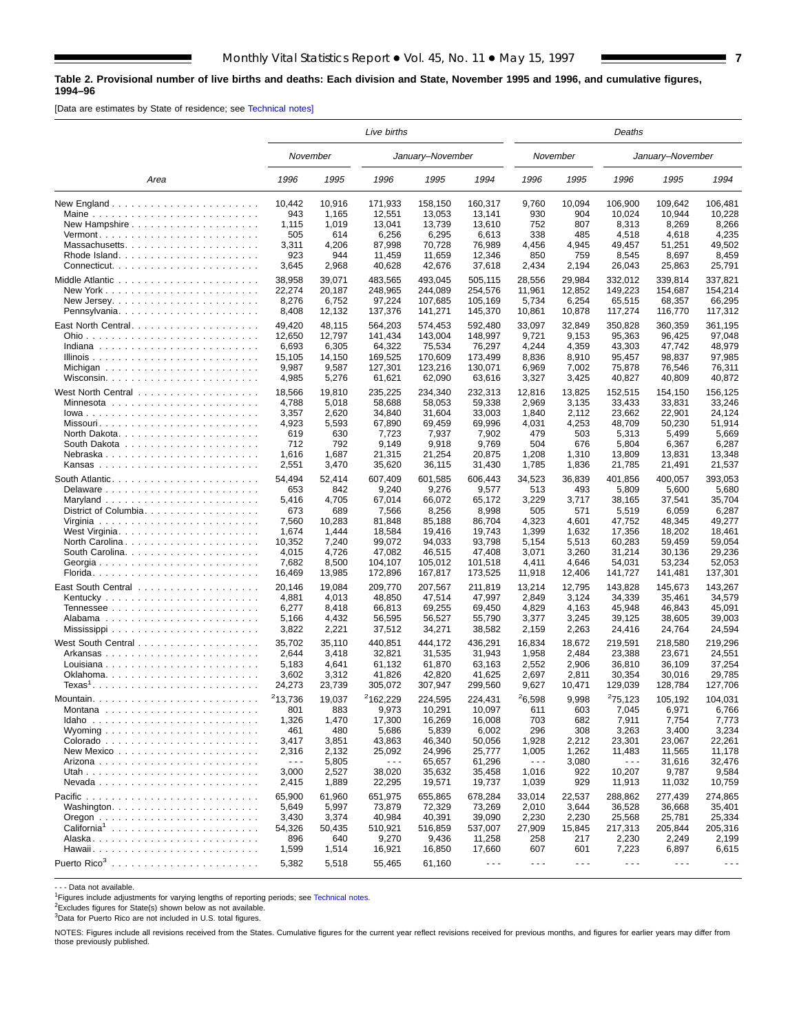#### <span id="page-6-0"></span>**Table 2. Provisional number of live births and deaths: Each division and State, November 1995 and 1996, and cumulative figures, 1994–96**

[Data are estimates by State of residence; see [Technical notes\]](#page-16-0)

|                                                           | Live births                                                       |                                                                   |                                                                             |                                                                             |                                                                             |                                                                   |                                                                   | Deaths                                                                      |                                                                             |                                                                             |  |  |  |
|-----------------------------------------------------------|-------------------------------------------------------------------|-------------------------------------------------------------------|-----------------------------------------------------------------------------|-----------------------------------------------------------------------------|-----------------------------------------------------------------------------|-------------------------------------------------------------------|-------------------------------------------------------------------|-----------------------------------------------------------------------------|-----------------------------------------------------------------------------|-----------------------------------------------------------------------------|--|--|--|
|                                                           | November                                                          |                                                                   |                                                                             | January-November                                                            |                                                                             |                                                                   | November                                                          |                                                                             | January-November                                                            |                                                                             |  |  |  |
| Area                                                      | 1996                                                              | 1995                                                              | 1996                                                                        | 1995                                                                        | 1994                                                                        | 1996                                                              | 1995                                                              | 1996                                                                        | 1995                                                                        | 1994                                                                        |  |  |  |
|                                                           | 10,442                                                            | 10,916                                                            | 171,933                                                                     | 158,150                                                                     | 160,317                                                                     | 9,760                                                             | 10,094                                                            | 106,900                                                                     | 109,642                                                                     | 106,481                                                                     |  |  |  |
| Maine                                                     | 943                                                               | 1,165                                                             | 12,551                                                                      | 13,053                                                                      | 13,141                                                                      | 930                                                               | 904                                                               | 10,024                                                                      | 10,944                                                                      | 10,228                                                                      |  |  |  |
| New Hampshire $\ldots \ldots \ldots \ldots \ldots \ldots$ | 1,115                                                             | 1,019                                                             | 13,041                                                                      | 13,739                                                                      | 13,610                                                                      | 752                                                               | 807                                                               | 8,313                                                                       | 8,269                                                                       | 8,266                                                                       |  |  |  |
|                                                           | 505                                                               | 614                                                               | 6,256                                                                       | 6,295                                                                       | 6,613                                                                       | 338                                                               | 485                                                               | 4,518                                                                       | 4,618                                                                       | 4,235                                                                       |  |  |  |
| Massachusetts                                             | 3,311                                                             | 4,206                                                             | 87,998                                                                      | 70,728                                                                      | 76,989                                                                      | 4,456                                                             | 4,945                                                             | 49,457                                                                      | 51,251                                                                      | 49,502                                                                      |  |  |  |
|                                                           | 923                                                               | 944                                                               | 11,459                                                                      | 11,659                                                                      | 12,346                                                                      | 850                                                               | 759                                                               | 8,545                                                                       | 8,697                                                                       | 8,459                                                                       |  |  |  |
|                                                           | 3,645                                                             | 2,968                                                             | 40,628                                                                      | 42,676                                                                      | 37,618                                                                      | 2,434                                                             | 2,194                                                             | 26,043                                                                      | 25,863                                                                      | 25,791                                                                      |  |  |  |
|                                                           | 38,958                                                            | 39,071                                                            | 483,565                                                                     | 493,045                                                                     | 505.115                                                                     | 28,556                                                            | 29,984                                                            | 332,012                                                                     | 339,814                                                                     | 337,821                                                                     |  |  |  |
|                                                           | 22,274                                                            | 20,187                                                            | 248,965                                                                     | 244.089                                                                     | 254,576                                                                     | 11,961                                                            | 12,852                                                            | 149,223                                                                     | 154,687                                                                     | 154,214                                                                     |  |  |  |
|                                                           | 8,276                                                             | 6,752                                                             | 97,224                                                                      | 107,685                                                                     | 105,169                                                                     | 5,734                                                             | 6,254                                                             | 65,515                                                                      | 68,357                                                                      | 66,295                                                                      |  |  |  |
| Pennsylvania                                              | 8,408                                                             | 12,132                                                            | 137,376                                                                     | 141,271                                                                     | 145,370                                                                     | 10,861                                                            | 10,878                                                            | 117,274                                                                     | 116,770                                                                     | 117,312                                                                     |  |  |  |
| East North Central                                        | 49,420                                                            | 48,115                                                            | 564,203                                                                     | 574,453                                                                     | 592,480                                                                     | 33,097                                                            | 32,849                                                            | 350,828                                                                     | 360,359                                                                     | 361,195                                                                     |  |  |  |
|                                                           | 12,650                                                            | 12,797                                                            | 141,434                                                                     | 143,004                                                                     | 148,997                                                                     | 9,721                                                             | 9,153                                                             | 95,363                                                                      | 96,425                                                                      | 97,048                                                                      |  |  |  |
|                                                           | 6,693                                                             | 6,305                                                             | 64,322                                                                      | 75,534                                                                      | 76,297                                                                      | 4,244                                                             | 4,359                                                             | 43,303                                                                      | 47,742                                                                      | 48,979                                                                      |  |  |  |
|                                                           | 15,105                                                            | 14,150                                                            | 169,525                                                                     | 170,609                                                                     | 173,499                                                                     | 8,836                                                             | 8,910                                                             | 95,457                                                                      | 98,837                                                                      | 97,985                                                                      |  |  |  |
|                                                           | 9,987                                                             | 9,587                                                             | 127,301                                                                     | 123,216                                                                     | 130,071                                                                     | 6,969                                                             | 7,002                                                             | 75,878                                                                      | 76,546                                                                      | 76,311                                                                      |  |  |  |
| North Dakota. $\ldots \ldots \ldots \ldots \ldots \ldots$ | 4,985<br>18,566<br>4,788<br>3,357<br>4,923<br>619<br>712<br>1,616 | 5,276<br>19,810<br>5,018<br>2,620<br>5,593<br>630<br>792<br>1,687 | 61,621<br>235,225<br>58,688<br>34,840<br>67,890<br>7,723<br>9,149<br>21,315 | 62,090<br>234,340<br>58,053<br>31,604<br>69,459<br>7,937<br>9,918<br>21,254 | 63,616<br>232,313<br>59,338<br>33,003<br>69,996<br>7,902<br>9,769<br>20,875 | 3,327<br>12,816<br>2,969<br>1,840<br>4,031<br>479<br>504<br>1,208 | 3,425<br>13,825<br>3,135<br>2,112<br>4,253<br>503<br>676<br>1,310 | 40,827<br>152,515<br>33,433<br>23,662<br>48,709<br>5,313<br>5,804<br>13,809 | 40,809<br>154,150<br>33,831<br>22,901<br>50,230<br>5,499<br>6,367<br>13,831 | 40,872<br>156,125<br>33,246<br>24,124<br>51,914<br>5,669<br>6,287<br>13,348 |  |  |  |
| Nebraska<br>Delaware<br>Maryland<br>District of Columbia  | 2,551<br>54,494<br>653<br>5,416<br>673<br>7,560                   | 3,470<br>52,414<br>842<br>4,705<br>689<br>10,283                  | 35,620<br>607,409<br>9,240<br>67,014<br>7,566<br>81,848                     | 36,115<br>601,585<br>9,276<br>66,072<br>8,256<br>85,188                     | 31,430<br>606,443<br>9,577<br>65,172<br>8,998<br>86,704                     | 1,785<br>34,523<br>513<br>3,229<br>505<br>4,323                   | 1,836<br>36,839<br>493<br>3,717<br>571<br>4,601                   | 21,785<br>401,856<br>5,809<br>38,165<br>5,519<br>47,752                     | 21,491<br>400,057<br>5,600<br>37,541<br>6,059<br>48,345                     | 21,537<br>393,053<br>5,680<br>35,704<br>6,287<br>49,277                     |  |  |  |
|                                                           | 1,674                                                             | 1,444                                                             | 18,584                                                                      | 19,416                                                                      | 19,743                                                                      | 1,399                                                             | 1,632                                                             | 17,356                                                                      | 18,202                                                                      | 18,461                                                                      |  |  |  |
|                                                           | 10,352                                                            | 7,240                                                             | 99,072                                                                      | 94,033                                                                      | 93,798                                                                      | 5,154                                                             | 5,513                                                             | 60,283                                                                      | 59,459                                                                      | 59,054                                                                      |  |  |  |
|                                                           | 4,015                                                             | 4,726                                                             | 47,082                                                                      | 46,515                                                                      | 47,408                                                                      | 3,071                                                             | 3,260                                                             | 31,214                                                                      | 30,136                                                                      | 29,236                                                                      |  |  |  |
|                                                           | 7,682                                                             | 8,500                                                             | 104,107                                                                     | 105,012                                                                     | 101,518                                                                     | 4,411                                                             | 4,646                                                             | 54,031                                                                      | 53,234                                                                      | 52,053                                                                      |  |  |  |
|                                                           | 16,469                                                            | 13,985                                                            | 172,896                                                                     | 167,817                                                                     | 173,525                                                                     | 11,918                                                            | 12,406                                                            | 141,727                                                                     | 141,481                                                                     | 137,301                                                                     |  |  |  |
|                                                           | 20,146                                                            | 19,084                                                            | 209,770                                                                     | 207,567                                                                     | 211,819                                                                     | 13,214                                                            | 12,795                                                            | 143,828                                                                     | 145,673                                                                     | 143,267                                                                     |  |  |  |
|                                                           | 4,881                                                             | 4,013                                                             | 48,850                                                                      | 47,514                                                                      | 47,997                                                                      | 2,849                                                             | 3,124                                                             | 34,339                                                                      | 35,461                                                                      | 34,579                                                                      |  |  |  |
|                                                           | 6,277                                                             | 8,418                                                             | 66,813                                                                      | 69,255                                                                      | 69,450                                                                      | 4,829                                                             | 4,163                                                             | 45,948                                                                      | 46,843                                                                      | 45,091                                                                      |  |  |  |
|                                                           | 5,166                                                             | 4,432                                                             | 56,595                                                                      | 56,527                                                                      | 55,790                                                                      | 3,377                                                             | 3,245                                                             | 39,125                                                                      | 38,605                                                                      | 39,003                                                                      |  |  |  |
|                                                           | 3,822                                                             | 2,221                                                             | 37,512                                                                      | 34,271                                                                      | 38,582                                                                      | 2,159                                                             | 2,263                                                             | 24,416                                                                      | 24,764                                                                      | 24,594                                                                      |  |  |  |
|                                                           | 35,702                                                            | 35,110                                                            | 440,851                                                                     | 444,172                                                                     | 436,291                                                                     | 16,834                                                            | 18,672                                                            | 219.591                                                                     | 218,580                                                                     | 219,296                                                                     |  |  |  |
| Arkansas                                                  | 2,644                                                             | 3,418                                                             | 32,821                                                                      | 31,535                                                                      | 31,943                                                                      | 1,958                                                             | 2,484                                                             | 23,388                                                                      | 23,671                                                                      | 24,551                                                                      |  |  |  |
|                                                           | 5,183                                                             | 4,641                                                             | 61,132                                                                      | 61,870                                                                      | 63,163                                                                      | 2,552                                                             | 2,906                                                             | 36,810                                                                      | 36,109                                                                      | 37,254                                                                      |  |  |  |
|                                                           | 3,602                                                             | 3,312                                                             | 41,826                                                                      | 42,820                                                                      | 41,625                                                                      | 2,697                                                             | 2,811                                                             | 30,354                                                                      | 30,016                                                                      | 29,785                                                                      |  |  |  |
| $Texas1$                                                  | 24,273                                                            | 23,739                                                            | 305,072                                                                     | 307,947                                                                     | 299,560                                                                     | 9,627                                                             | 10,471                                                            | 129,039                                                                     | 128,784                                                                     | 127,706                                                                     |  |  |  |
|                                                           | 213,736                                                           | 19,037                                                            | <sup>2</sup> 162,229                                                        | 224,595                                                                     | 224,431                                                                     | 26,598                                                            | 9,998                                                             | <sup>2</sup> 75,123                                                         | 105,192                                                                     | 104,031                                                                     |  |  |  |
|                                                           | 801                                                               | 883                                                               | 9,973                                                                       | 10,291                                                                      | 10,097                                                                      | 611                                                               | 603                                                               | 7,045                                                                       | 6,971                                                                       | 6,766                                                                       |  |  |  |
|                                                           | 1,326                                                             | 1,470                                                             | 17,300                                                                      | 16,269                                                                      | 16,008                                                                      | 703                                                               | 682                                                               | 7,911                                                                       | 7,754                                                                       | 7,773                                                                       |  |  |  |
|                                                           | 461                                                               | 480                                                               | 5,686                                                                       | 5,839                                                                       | 6,002                                                                       | 296                                                               | 308                                                               | 3,263                                                                       | 3,400                                                                       | 3,234                                                                       |  |  |  |
|                                                           | 3,417                                                             | 3,851                                                             | 43,863                                                                      | 46,340                                                                      | 50,056                                                                      | 1,928                                                             | 2,212                                                             | 23,301                                                                      | 23,067                                                                      | 22,261                                                                      |  |  |  |
|                                                           | 2,316                                                             | 2,132                                                             | 25,092                                                                      | 24,996                                                                      | 25,777                                                                      | 1,005                                                             | 1,262                                                             | 11,483                                                                      | 11,565                                                                      | 11,178                                                                      |  |  |  |
|                                                           | $\sim$ $\sim$ $\sim$                                              | 5,805                                                             | $- - -$                                                                     | 65,657                                                                      | 61,296                                                                      | $\sim$ $\sim$ $\sim$                                              | 3,080                                                             | - - -                                                                       | 31,616                                                                      | 32,476                                                                      |  |  |  |
|                                                           | 3,000                                                             | 2,527                                                             | 38,020                                                                      | 35,632                                                                      | 35,458                                                                      | 1,016                                                             | 922                                                               | 10,207                                                                      | 9,787                                                                       | 9,584                                                                       |  |  |  |
|                                                           | 2,415                                                             | 1,889                                                             | 22,295                                                                      | 19,571                                                                      | 19,737                                                                      | 1,039                                                             | 929                                                               | 11,913                                                                      | 11,032                                                                      | 10,759                                                                      |  |  |  |
|                                                           | 65,900                                                            | 61,960                                                            | 651,975                                                                     | 655,865                                                                     | 678,284                                                                     | 33,014                                                            | 22,537                                                            | 288,862                                                                     | 277,439                                                                     | 274,865                                                                     |  |  |  |
|                                                           | 5,649                                                             | 5,997                                                             | 73,879                                                                      | 72,329                                                                      | 73,269                                                                      | 2,010                                                             | 3,644                                                             | 36,528                                                                      | 36,668                                                                      | 35,401                                                                      |  |  |  |
|                                                           | 3,430                                                             | 3,374                                                             | 40,984                                                                      | 40,391                                                                      | 39,090                                                                      | 2,230                                                             | 2,230                                                             | 25,568                                                                      | 25,781                                                                      | 25,334                                                                      |  |  |  |
|                                                           | 54,326                                                            | 50,435                                                            | 510,921                                                                     | 516,859                                                                     | 537,007                                                                     | 27,909                                                            | 15,845                                                            | 217,313                                                                     | 205,844                                                                     | 205,316                                                                     |  |  |  |
|                                                           | 896                                                               | 640                                                               | 9,270                                                                       | 9,436                                                                       | 11,258                                                                      | 258                                                               | 217                                                               | 2,230                                                                       | 2,249                                                                       | 2,199                                                                       |  |  |  |
|                                                           | 1,599                                                             | 1,514                                                             | 16,921                                                                      | 16,850                                                                      | 17,660                                                                      | 607                                                               | 601                                                               | 7,223                                                                       | 6,897                                                                       | 6,615                                                                       |  |  |  |
|                                                           | 5,382                                                             | 5,518                                                             | 55,465                                                                      | 61,160                                                                      | $\sim$ $\sim$ $\sim$                                                        | $  -$                                                             | $- - -$                                                           | $\sim$ $\sim$ $\sim$                                                        | $\sim$ $\sim$ $\sim$                                                        | $\sim$ $\sim$ $\sim$                                                        |  |  |  |

- - - Data not available.

1Figures include adjustments for varying lengths of reporting periods; see [Technical notes.](#page-16-0)

2Excludes figures for State(s) shown below as not available.

3Data for Puerto Rico are not included in U.S. total figures.

NOTES: Figures include all revisions received from the States. Cumulative figures for the current year reflect revisions received for previous months, and figures for earlier years may differ from those previously published.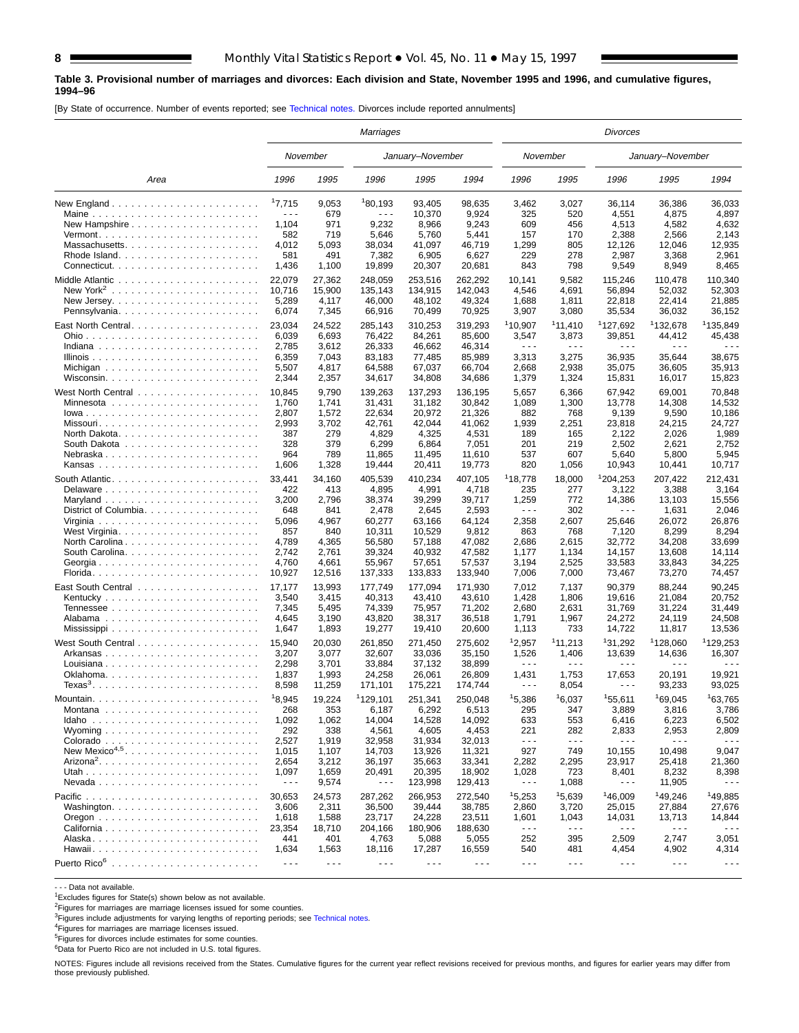#### **Table 3. Provisional number of marriages and divorces: Each division and State, November 1995 and 1996, and cumulative figures, 1994–96**

[By State of occurrence. Number of events reported; see [Technical notes.](#page-16-0) Divorces include reported annulments]

|                                                                       | Marriages            |                      |                      |                      |                      |                      |                      | Divorces                                                                                                                                                                                                                                                                                                                                                                                     |                      |                      |  |  |  |  |
|-----------------------------------------------------------------------|----------------------|----------------------|----------------------|----------------------|----------------------|----------------------|----------------------|----------------------------------------------------------------------------------------------------------------------------------------------------------------------------------------------------------------------------------------------------------------------------------------------------------------------------------------------------------------------------------------------|----------------------|----------------------|--|--|--|--|
|                                                                       |                      | November             |                      | January-November     |                      |                      | November             |                                                                                                                                                                                                                                                                                                                                                                                              | January-November     |                      |  |  |  |  |
| Area                                                                  | 1996                 | 1995                 | 1996                 | 1995                 | 1994                 | 1996                 | 1995                 | 1996                                                                                                                                                                                                                                                                                                                                                                                         | 1995                 | 1994                 |  |  |  |  |
| New England $\ldots \ldots \ldots \ldots \ldots \ldots \ldots \ldots$ | 17,715               | 9,053                | 180,193              | 93,405               | 98,635               | 3,462                | 3,027                | 36,114                                                                                                                                                                                                                                                                                                                                                                                       | 36,386               | 36,033               |  |  |  |  |
|                                                                       | $\sim$ $\sim$ $\sim$ | 679                  | $\sim$ $\sim$ $\sim$ | 10,370               | 9,924                | 325                  | 520                  | 4,551                                                                                                                                                                                                                                                                                                                                                                                        | 4,875                | 4,897                |  |  |  |  |
|                                                                       | 1,104                | 971                  | 9,232                | 8,966                | 9,243                | 609                  | 456                  | 4,513                                                                                                                                                                                                                                                                                                                                                                                        | 4,582                | 4,632                |  |  |  |  |
|                                                                       | 582                  | 719                  | 5,646                | 5,760                | 5,441                | 157                  | 170                  | 2,388                                                                                                                                                                                                                                                                                                                                                                                        | 2,566                | 2,143                |  |  |  |  |
| Massachusetts                                                         | 4,012                | 5,093                | 38,034               | 41,097               | 46,719               | 1,299                | 805                  | 12,126                                                                                                                                                                                                                                                                                                                                                                                       | 12,046               | 12,935               |  |  |  |  |
|                                                                       | 581                  | 491                  | 7,382                | 6,905                | 6,627                | 229                  | 278                  | 2,987                                                                                                                                                                                                                                                                                                                                                                                        | 3,368                | 2,961                |  |  |  |  |
|                                                                       | 1,436                | 1,100                | 19,899               | 20,307               | 20,681               | 843                  | 798                  | 9,549                                                                                                                                                                                                                                                                                                                                                                                        | 8,949                | 8,465                |  |  |  |  |
|                                                                       | 22.079               | 27,362               | 248,059              | 253,516              | 262,292              | 10,141               | 9,582                | 115,246                                                                                                                                                                                                                                                                                                                                                                                      | 110,478              | 110.340              |  |  |  |  |
|                                                                       | 10,716               | 15,900               | 135,143              | 134,915              | 142,043              | 4,546                | 4,691                | 56,894                                                                                                                                                                                                                                                                                                                                                                                       | 52,032               | 52,303               |  |  |  |  |
|                                                                       | 5,289                | 4,117                | 46,000               | 48,102               | 49,324               | 1,688                | 1,811                | 22,818                                                                                                                                                                                                                                                                                                                                                                                       | 22,414               | 21,885               |  |  |  |  |
|                                                                       | 6,074                | 7,345                | 66,916               | 70,499               | 70,925               | 3,907                | 3,080                | 35,534                                                                                                                                                                                                                                                                                                                                                                                       | 36,032               | 36,152               |  |  |  |  |
|                                                                       | 23,034               | 24,522               | 285,143              | 310,253              | 319,293              | <sup>1</sup> 10,907  | 11,410               | <sup>1</sup> 127,692                                                                                                                                                                                                                                                                                                                                                                         | 132,678              | <sup>1</sup> 135,849 |  |  |  |  |
|                                                                       | 6,039                | 6,693                | 76,422               | 84,261               | 85,600               | 3,547                | 3,873                | 39,851                                                                                                                                                                                                                                                                                                                                                                                       | 44,412               | 45,438               |  |  |  |  |
|                                                                       | 2,785                | 3,612                | 26,333               | 46,662               | 46,314               | $\sim$ $\sim$ $\sim$ | $\sim$ $\sim$ $\sim$ | .                                                                                                                                                                                                                                                                                                                                                                                            | $\sim$ $\sim$ $\sim$ |                      |  |  |  |  |
|                                                                       | 6,359                | 7,043                | 83,183               | 77,485               | 85,989               | 3,313                | 3,275                | 36,935                                                                                                                                                                                                                                                                                                                                                                                       | 35,644               | 38,675               |  |  |  |  |
|                                                                       | 5,507                | 4,817                | 64,588               | 67,037               | 66,704               | 2,668                | 2,938                | 35,075                                                                                                                                                                                                                                                                                                                                                                                       | 36,605               | 35,913               |  |  |  |  |
|                                                                       | 2,344                | 2,357                | 34,617               | 34,808               | 34,686               | 1,379                | 1,324                | 15,831                                                                                                                                                                                                                                                                                                                                                                                       | 16,017               | 15,823               |  |  |  |  |
|                                                                       |                      |                      |                      |                      |                      |                      |                      |                                                                                                                                                                                                                                                                                                                                                                                              |                      |                      |  |  |  |  |
|                                                                       | 10,845               | 9,790                | 139,263              | 137,293              | 136,195              | 5,657                | 6,366                | 67,942                                                                                                                                                                                                                                                                                                                                                                                       | 69,001               | 70,848               |  |  |  |  |
|                                                                       | 1,760                | 1,741                | 31,431               | 31,182               | 30,842               | 1,089                | 1,300                | 13,778                                                                                                                                                                                                                                                                                                                                                                                       | 14,308               | 14,532               |  |  |  |  |
|                                                                       | 2,807                | 1,572                | 22,634               | 20,972               | 21,326               | 882                  | 768                  | 9,139                                                                                                                                                                                                                                                                                                                                                                                        | 9,590                | 10,186               |  |  |  |  |
|                                                                       | 2,993                | 3,702                | 42,761               | 42,044               | 41,062               | 1,939                | 2,251                | 23,818                                                                                                                                                                                                                                                                                                                                                                                       | 24,215               | 24,727               |  |  |  |  |
|                                                                       | 387                  | 279                  | 4,829                | 4,325                | 4,531                | 189                  | 165                  | 2,122                                                                                                                                                                                                                                                                                                                                                                                        | 2,026                | 1,989                |  |  |  |  |
|                                                                       | 328                  | 379                  | 6,299                | 6,864                | 7,051                | 201                  | 219                  | 2,502                                                                                                                                                                                                                                                                                                                                                                                        | 2,621                | 2,752                |  |  |  |  |
| Nebraska                                                              | 964                  | 789                  | 11,865               | 11,495               | 11,610               | 537                  | 607                  | 5,640                                                                                                                                                                                                                                                                                                                                                                                        | 5,800                | 5,945                |  |  |  |  |
|                                                                       | 1,606                | 1,328                | 19,444               | 20,411               | 19,773               | 820                  | 1,056                | 10,943                                                                                                                                                                                                                                                                                                                                                                                       | 10,441               | 10,717               |  |  |  |  |
|                                                                       | 33,441               | 34,160               | 405,539              | 410,234              | 407,105              | 118,778              | 18,000               | 1204,253                                                                                                                                                                                                                                                                                                                                                                                     | 207,422              | 212,431              |  |  |  |  |
|                                                                       | 422                  | 413                  | 4,895                | 4,991                | 4,718                | 235                  | 277                  | 3,122                                                                                                                                                                                                                                                                                                                                                                                        | 3,388                | 3,164                |  |  |  |  |
|                                                                       | 3,200                | 2,796                | 38,374               | 39,299               | 39,717               | 1,259                | 772                  | 14,386                                                                                                                                                                                                                                                                                                                                                                                       | 13,103               | 15,556               |  |  |  |  |
| District of Columbia                                                  | 648                  | 841                  | 2,478                | 2,645                | 2,593                | $\sim$ $\sim$ $\sim$ | 302                  | $  -$                                                                                                                                                                                                                                                                                                                                                                                        | 1,631                | 2,046                |  |  |  |  |
|                                                                       | 5,096                | 4,967                | 60,277               | 63,166               | 64,124               | 2,358                | 2,607                | 25,646                                                                                                                                                                                                                                                                                                                                                                                       | 26,072               | 26,876               |  |  |  |  |
|                                                                       | 857                  | 840                  | 10,311               | 10,529               | 9,812                | 863                  | 768                  | 7,120                                                                                                                                                                                                                                                                                                                                                                                        | 8,299                | 8,294                |  |  |  |  |
| North Carolina                                                        | 4,789                | 4,365                | 56,580               | 57,188               | 47,082               | 2,686                | 2,615                | 32,772                                                                                                                                                                                                                                                                                                                                                                                       | 34,208               | 33,699               |  |  |  |  |
|                                                                       | 2,742                | 2,761                | 39,324               | 40,932               | 47,582               | 1,177                | 1,134                | 14,157                                                                                                                                                                                                                                                                                                                                                                                       | 13,608               | 14,114               |  |  |  |  |
| Georgia                                                               | 4,760                | 4,661                | 55,967               | 57,651               | 57,537               | 3,194                | 2,525                | 33,583                                                                                                                                                                                                                                                                                                                                                                                       | 33,843               | 34,225               |  |  |  |  |
|                                                                       | 10,927               | 12,516               | 137,333              | 133,833              | 133,940              | 7,006                | 7,000                | 73,467                                                                                                                                                                                                                                                                                                                                                                                       | 73,270               | 74,457               |  |  |  |  |
|                                                                       | 17,177               | 13,993               | 177,749              | 177,094              | 171,930              | 7,012                | 7,137                | 90,379                                                                                                                                                                                                                                                                                                                                                                                       | 88,244               | 90,245               |  |  |  |  |
|                                                                       |                      |                      |                      |                      |                      | 1,428                | 1,806                |                                                                                                                                                                                                                                                                                                                                                                                              | 21,084               | 20,752               |  |  |  |  |
|                                                                       | 3,540                | 3,415                | 40,313               | 43,410<br>75,957     | 43,610               |                      |                      | 19,616                                                                                                                                                                                                                                                                                                                                                                                       |                      | 31,449               |  |  |  |  |
|                                                                       | 7,345                | 5,495                | 74,339               |                      | 71,202               | 2,680                | 2,631                | 31,769                                                                                                                                                                                                                                                                                                                                                                                       | 31,224               |                      |  |  |  |  |
|                                                                       | 4,645                | 3,190                | 43,820               | 38,317               | 36,518               | 1,791                | 1,967                | 24,272                                                                                                                                                                                                                                                                                                                                                                                       | 24,119               | 24,508               |  |  |  |  |
|                                                                       | 1,647                | 1,893                | 19,277               | 19,410               | 20,600               | 1,113                | 733                  | 14,722                                                                                                                                                                                                                                                                                                                                                                                       | 11,817               | 13,536               |  |  |  |  |
|                                                                       | 15,940               | 20,030               | 261,850              | 271,450              | 275,602              | 12,957               | 111,213              | 131,292                                                                                                                                                                                                                                                                                                                                                                                      | 128,060              | 129,253              |  |  |  |  |
| Arkansas                                                              | 3,207                | 3,077                | 32,607               | 33.036               | 35,150               | 1,526                | 1,406                | 13,639                                                                                                                                                                                                                                                                                                                                                                                       | 14,636               | 16,307               |  |  |  |  |
| Louisiana                                                             | 2,298                | 3,701                | 33,884               | 37,132               | 38,899               | $\sim$ $\sim$ $\sim$ | $\sim$ $\sim$ $\sim$ | .                                                                                                                                                                                                                                                                                                                                                                                            | $\sim$ $\sim$ $\sim$ |                      |  |  |  |  |
|                                                                       | 1,837                | 1,993                | 24,258               | 26,061               | 26,809               | 1,431                | 1,753                | 17,653                                                                                                                                                                                                                                                                                                                                                                                       | 20,191               | 19,921               |  |  |  |  |
| $Texas3$                                                              | 8,598                | 11,259               | 171,101              | 175,221              | 174,744              | $  -$                | 8,054                | $\sim$ $\sim$ $\sim$                                                                                                                                                                                                                                                                                                                                                                         | 93,233               | 93,025               |  |  |  |  |
|                                                                       | 18,945               | 19,224               | <sup>1</sup> 129,101 | 251,341              | 250,048              | 15,386               | 16,037               | 155,611                                                                                                                                                                                                                                                                                                                                                                                      | 169,045              | 163.765              |  |  |  |  |
|                                                                       | 268                  | 353                  | 6,187                | 6,292                | 6,513                | 295                  | 347                  | 3,889                                                                                                                                                                                                                                                                                                                                                                                        | 3,816                | 3,786                |  |  |  |  |
|                                                                       | 1,092                | 1,062                | 14,004               | 14,528               | 14,092               | 633                  | 553                  | 6,416                                                                                                                                                                                                                                                                                                                                                                                        | 6,223                | 6,502                |  |  |  |  |
|                                                                       | 292                  | 338                  | 4,561                | 4,605                | 4,453                | 221                  | 282                  | 2,833                                                                                                                                                                                                                                                                                                                                                                                        | 2,953                | 2,809                |  |  |  |  |
|                                                                       | 2,527                | 1,919                | 32,958               | 31,934               | 32,013               | $\sim$ $\sim$ $\sim$ | $\sim$ $\sim$ $\sim$ | $\sim$ $\sim$ $\sim$                                                                                                                                                                                                                                                                                                                                                                         | $\sim$ $\sim$ $\sim$ | $\sim$ $\sim$ $\sim$ |  |  |  |  |
| New Mexico <sup>4,5</sup>                                             | 1,015                | 1,107                | 14,703               | 13,926               | 11,321               | 927                  | 749                  | 10,155                                                                                                                                                                                                                                                                                                                                                                                       | 10,498               | 9,047                |  |  |  |  |
|                                                                       | 2,654                | 3,212                | 36,197               | 35,663               | 33,341               | 2,282                | 2,295                | 23,917                                                                                                                                                                                                                                                                                                                                                                                       | 25,418               | 21,360               |  |  |  |  |
|                                                                       | 1,097                | 1,659                | 20,491               | 20,395               | 18,902               | 1,028                | 723                  | 8,401                                                                                                                                                                                                                                                                                                                                                                                        | 8,232                | 8,398                |  |  |  |  |
|                                                                       | $\sim$ $\sim$ $\sim$ | 9,574                | $  -$                | 123,998              | 129,413              | $- - -$              | 1,088                | $\frac{1}{2} \frac{1}{2} \frac{1}{2} \frac{1}{2} \frac{1}{2} \frac{1}{2} \frac{1}{2} \frac{1}{2} \frac{1}{2} \frac{1}{2} \frac{1}{2} \frac{1}{2} \frac{1}{2} \frac{1}{2} \frac{1}{2} \frac{1}{2} \frac{1}{2} \frac{1}{2} \frac{1}{2} \frac{1}{2} \frac{1}{2} \frac{1}{2} \frac{1}{2} \frac{1}{2} \frac{1}{2} \frac{1}{2} \frac{1}{2} \frac{1}{2} \frac{1}{2} \frac{1}{2} \frac{1}{2} \frac{$ | 11,905               |                      |  |  |  |  |
|                                                                       |                      |                      |                      |                      |                      |                      |                      |                                                                                                                                                                                                                                                                                                                                                                                              |                      |                      |  |  |  |  |
|                                                                       | 30,653               | 24,573               | 287,262              | 266,953              | 272,540              | 15,253               | 15,639               | 146,009                                                                                                                                                                                                                                                                                                                                                                                      | 149,246              | 149,885              |  |  |  |  |
|                                                                       | 3,606                | 2,311                | 36,500               | 39,444               | 38,785               | 2,860                | 3,720                | 25,015                                                                                                                                                                                                                                                                                                                                                                                       | 27,884               | 27,676               |  |  |  |  |
|                                                                       | 1,618                | 1,588                | 23,717               | 24,228               | 23,511               | 1,601                | 1,043                | 14,031                                                                                                                                                                                                                                                                                                                                                                                       | 13,713               | 14,844               |  |  |  |  |
|                                                                       | 23,354               | 18,710               | 204,166              | 180,906              | 188,630              | $\sim$ $\sim$ $\sim$ | $\sim$ $\sim$ $\sim$ | $\sim$ $\sim$ $\sim$                                                                                                                                                                                                                                                                                                                                                                         | $\sim$ $\sim$ $\sim$ | $\sim$ $\sim$ $\sim$ |  |  |  |  |
|                                                                       | 441                  | 401                  | 4,763                | 5,088                | 5,055                | 252                  | 395                  | 2,509                                                                                                                                                                                                                                                                                                                                                                                        | 2,747                | 3,051                |  |  |  |  |
|                                                                       | 1,634                | 1,563                | 18,116               | 17,287               | 16,559               | 540                  | 481                  | 4,454                                                                                                                                                                                                                                                                                                                                                                                        | 4,902                | 4,314                |  |  |  |  |
|                                                                       | $\sim$ $\sim$ $\sim$ | $\sim$ $\sim$ $\sim$ | $\sim$ $\sim$ $\sim$ | $\sim$ $\sim$ $\sim$ | $\sim$ $\sim$ $\sim$ | $\sim$ $\sim$ $\sim$ | $\sim$ $\sim$ $\sim$ | $\sim$ $\sim$ $\sim$                                                                                                                                                                                                                                                                                                                                                                         | $\sim$ $\sim$ $\sim$ | $\sim$ $\sim$ $\sim$ |  |  |  |  |

- - - Data not available.

 $1$ Excludes figures for State(s) shown below as not available.

<sup>2</sup>Figures for marriages are marriage licenses issued for some counties.

<sup>3</sup>Figures include adjustments for varying lengths of reporting periods; see [Technical notes.](#page-16-0)<br><sup>4</sup>Figures for marriages are marriage licenses issued.

5Figures for divorces include estimates for some counties.

6Data for Puerto Rico are not included in U.S. total figures.

NOTES: Figures include all revisions received from the States. Cumulative figures for the current year reflect revisions received for previous months, and figures for earlier years may differ from those previously published.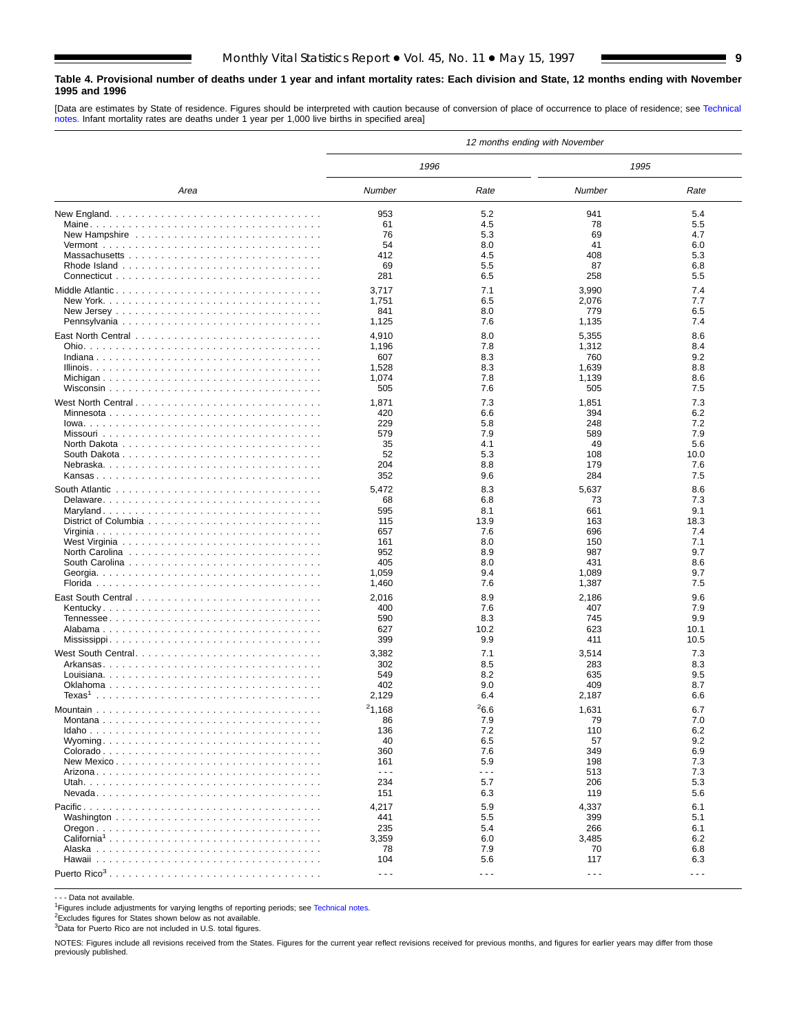#### <span id="page-8-0"></span>**Table 4. Provisional number of deaths under 1 year and infant mortality rates: Each division and State, 12 months ending with November 1995 and 1996**

[Data are estimates by State of residence. Figures should be interpreted with caution because of conversion of place of occurrence to place of residence; see [Technical](#page-16-0) [notes.](#page-16-0) Infant mortality rates are deaths under 1 year per 1,000 live births in specified area]

|                    | 12 months ending with November |                      |                      |             |  |  |  |  |  |  |  |
|--------------------|--------------------------------|----------------------|----------------------|-------------|--|--|--|--|--|--|--|
|                    | 1996                           |                      | 1995                 |             |  |  |  |  |  |  |  |
| Area               | Number                         | Rate                 | Number               | Rate        |  |  |  |  |  |  |  |
|                    | 953                            | 5.2                  | 941                  | 5.4         |  |  |  |  |  |  |  |
|                    | 61                             | 4.5                  | 78                   | 5.5         |  |  |  |  |  |  |  |
|                    | 76                             | 5.3                  | 69                   | 4.7         |  |  |  |  |  |  |  |
|                    | 54                             | 8.0                  | 41                   | 6.0         |  |  |  |  |  |  |  |
|                    | 412                            | 4.5                  | 408                  | 5.3         |  |  |  |  |  |  |  |
|                    | 69                             | 5.5                  | 87                   | 6.8         |  |  |  |  |  |  |  |
|                    | 281                            | 6.5                  | 258                  | 5.5         |  |  |  |  |  |  |  |
|                    | 3,717                          | 7.1                  | 3,990                | 7.4         |  |  |  |  |  |  |  |
|                    | 1,751                          | 6.5                  | 2,076                | 7.7         |  |  |  |  |  |  |  |
|                    | 841                            | 8.0                  | 779                  | 6.5         |  |  |  |  |  |  |  |
|                    | 1,125                          | 7.6                  | 1,135                | 7.4         |  |  |  |  |  |  |  |
|                    | 4,910                          | 8.0                  | 5,355                | 8.6         |  |  |  |  |  |  |  |
|                    | 1,196                          | 7.8                  | 1,312                | 8.4         |  |  |  |  |  |  |  |
|                    | 607                            | 8.3                  | 760                  | 9.2         |  |  |  |  |  |  |  |
|                    | 1,528                          | 8.3                  | 1,639                | 8.8         |  |  |  |  |  |  |  |
|                    | 1,074                          | 7.8                  | 1,139                | 8.6         |  |  |  |  |  |  |  |
|                    | 505                            | 7.6                  | 505                  | 7.5         |  |  |  |  |  |  |  |
| West North Central | 1,871                          | 7.3                  | 1,851                | 7.3         |  |  |  |  |  |  |  |
|                    | 420                            | 6.6                  | 394                  | 6.2         |  |  |  |  |  |  |  |
|                    | 229                            | 5.8                  | 248                  | 7.2         |  |  |  |  |  |  |  |
|                    | 579                            | 7.9                  | 589                  | 7.9         |  |  |  |  |  |  |  |
|                    | 35                             | 4.1                  | 49                   | 5.6         |  |  |  |  |  |  |  |
|                    | 52<br>204                      | 5.3<br>8.8           | 108<br>179           | 10.0<br>7.6 |  |  |  |  |  |  |  |
|                    | 352                            | 9.6                  | 284                  | 7.5         |  |  |  |  |  |  |  |
|                    |                                |                      |                      |             |  |  |  |  |  |  |  |
|                    | 5,472                          | 8.3                  | 5,637                | 8.6         |  |  |  |  |  |  |  |
|                    | 68<br>595                      | 6.8<br>8.1           | 73<br>661            | 7.3<br>9.1  |  |  |  |  |  |  |  |
|                    | 115                            | 13.9                 | 163                  | 18.3        |  |  |  |  |  |  |  |
|                    | 657                            | 7.6                  | 696                  | 7.4         |  |  |  |  |  |  |  |
|                    | 161                            | 8.0                  | 150                  | 7.1         |  |  |  |  |  |  |  |
|                    | 952                            | 8.9                  | 987                  | 9.7         |  |  |  |  |  |  |  |
|                    | 405                            | 8.0                  | 431                  | 8.6         |  |  |  |  |  |  |  |
|                    | 1,059                          | 9.4                  | 1,089                | 9.7         |  |  |  |  |  |  |  |
|                    | 1,460                          | 7.6                  | 1,387                | 7.5         |  |  |  |  |  |  |  |
|                    | 2,016                          | 8.9                  | 2,186                | 9.6         |  |  |  |  |  |  |  |
|                    | 400                            | 7.6                  | 407                  | 7.9         |  |  |  |  |  |  |  |
|                    | 590                            | 8.3                  | 745                  | 9.9         |  |  |  |  |  |  |  |
|                    | 627                            | 10.2                 | 623                  | 10.1        |  |  |  |  |  |  |  |
|                    | 399                            | 9.9                  | 411                  | 10.5        |  |  |  |  |  |  |  |
|                    | 3,382                          | 7.1                  | 3,514                | 7.3         |  |  |  |  |  |  |  |
|                    | 302                            | 8.5                  | 283                  | 8.3         |  |  |  |  |  |  |  |
|                    | 549                            | 8.2                  | 635                  | 9.5         |  |  |  |  |  |  |  |
|                    | 402                            | 9.0                  | 409                  | 8.7         |  |  |  |  |  |  |  |
|                    | 2,129                          | 6.4                  | 2,187                | 6.6         |  |  |  |  |  |  |  |
|                    | 21,168                         | <sup>2</sup> 6.6     | 1,631                | 6.7         |  |  |  |  |  |  |  |
| Montana            | 86                             | 7.9                  | 79                   | 7.0         |  |  |  |  |  |  |  |
|                    | 136                            | 7.2                  | 110                  | 6.2         |  |  |  |  |  |  |  |
|                    | 40                             | 6.5                  | 57                   | 9.2         |  |  |  |  |  |  |  |
|                    | 360                            | 7.6                  | 349                  | 6.9         |  |  |  |  |  |  |  |
| New Mexico         | 161<br>$ -$                    | 5.9<br>.             | 198                  | 7.3         |  |  |  |  |  |  |  |
|                    | 234                            | 5.7                  | 513<br>206           | 7.3<br>5.3  |  |  |  |  |  |  |  |
|                    | 151                            | 6.3                  | 119                  | 5.6         |  |  |  |  |  |  |  |
|                    |                                |                      |                      |             |  |  |  |  |  |  |  |
|                    | 4,217                          | 5.9                  | 4,337                | 6.1         |  |  |  |  |  |  |  |
|                    | 441                            | 5.5                  | 399                  | 5.1         |  |  |  |  |  |  |  |
|                    | 235                            | 5.4                  | 266                  | 6.1         |  |  |  |  |  |  |  |
|                    | 3,359<br>78                    | 6.0<br>7.9           | 3,485<br>70          | 6.2<br>6.8  |  |  |  |  |  |  |  |
|                    | 104                            | 5.6                  | 117                  | 6.3         |  |  |  |  |  |  |  |
|                    |                                |                      |                      |             |  |  |  |  |  |  |  |
|                    | $- - -$                        | $\sim$ $\sim$ $\sim$ | $\sim$ $\sim$ $\sim$ | $- - -$     |  |  |  |  |  |  |  |

- - - Data not available.

<sup>1</sup>Figures include adjustments for varying lengths of reporting periods; see [Technical notes.](#page-16-0)

2Excludes figures for States shown below as not available.

3Data for Puerto Rico are not included in U.S. total figures.

NOTES: Figures include all revisions received from the States. Figures for the current year reflect revisions received for previous months, and figures for earlier years may differ from those previously published.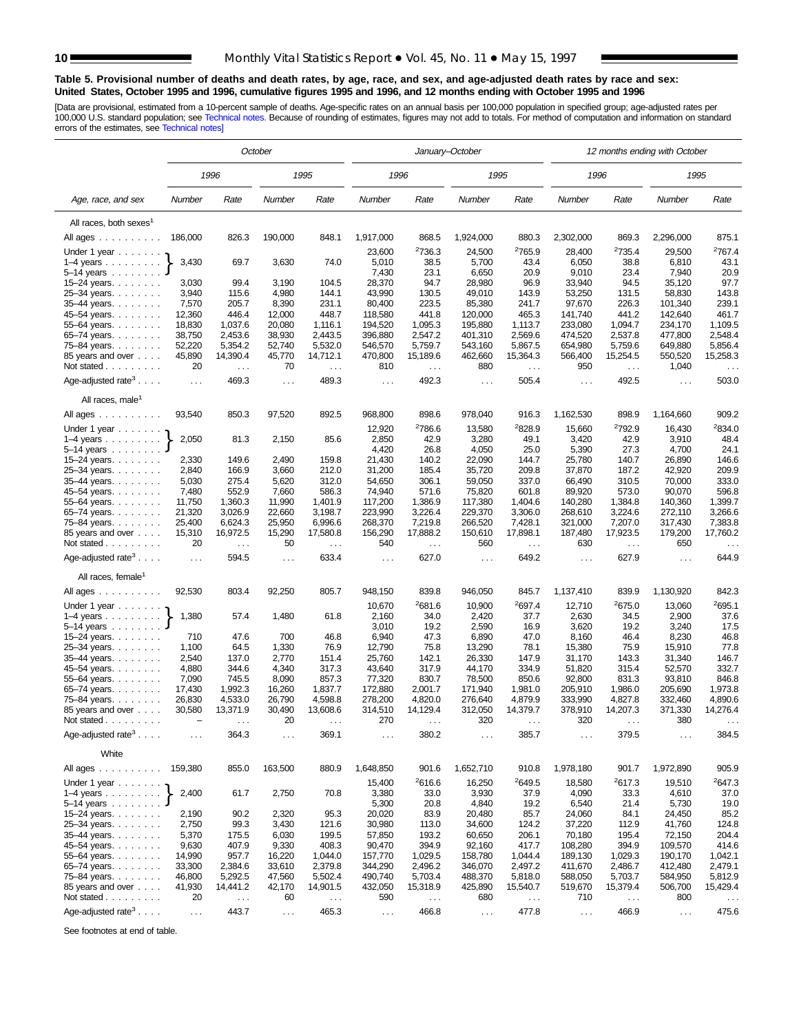#### <span id="page-9-0"></span>**Table 5. Provisional number of deaths and death rates, by age, race, and sex, and age-adjusted death rates by race and sex: United States, October 1995 and 1996, cumulative figures 1995 and 1996, and 12 months ending with October 1995 and 1996**

[Data are provisional, estimated from a 10-percent sample of deaths. Age-specific rates on an annual basis per 100,000 population in specified group; age-adjusted rates per<br>100,000 U.S. standard population; see Technical n

|                                           | October              |                |                |                |                                               |                      | January–October  |                    | 12 months ending with October |                    |                      |                    |  |
|-------------------------------------------|----------------------|----------------|----------------|----------------|-----------------------------------------------|----------------------|------------------|--------------------|-------------------------------|--------------------|----------------------|--------------------|--|
|                                           |                      | 1996           |                | 1995           | 1996                                          |                      | 1995             |                    | 1996                          |                    | 1995                 |                    |  |
| Age, race, and sex                        | Number               | Rate           | Number         | Rate           | Number                                        | Rate                 | Number           | Rate               | Number                        | Rate               | Number               | Rate               |  |
| All races, both sexes <sup>1</sup>        |                      |                |                |                |                                               |                      |                  |                    |                               |                    |                      |                    |  |
| All ages                                  | 186,000              | 826.3          | 190,000        | 848.1          | 1,917,000                                     | 868.5                | 1,924,000        | 880.3              | 2,302,000                     | 869.3              | 2,296,000            | 875.1              |  |
| Under 1 year                              |                      |                |                |                | 23,600                                        | <sup>2</sup> 736.3   | 24,500           | <sup>2</sup> 765.9 | 28,400                        | <sup>2</sup> 735.4 | 29,500               | <sup>2</sup> 767.4 |  |
| $1-4$ years $\ldots$                      | 3,430                | 69.7           | 3,630          | 74.0           | 5,010                                         | 38.5                 | 5,700            | 43.4               | 6,050                         | 38.8               | 6,810                | 43.1               |  |
| $5-14$ years $\ldots$ .                   |                      |                |                |                | 7,430                                         | 23.1                 | 6,650            | 20.9               | 9,010                         | 23.4               | 7,940                | 20.9               |  |
| 15-24 years.                              | 3,030                | 99.4           | 3,190          | 104.5          | 28,370                                        | 94.7                 | 28,980           | 96.9               | 33,940                        | 94.5               | 35,120               | 97.7               |  |
| 25-34 years.<br>35-44 years.              | 3,940<br>7,570       | 115.6<br>205.7 | 4,980<br>8,390 | 144.1<br>231.1 | 43,990<br>80,400                              | 130.5<br>223.5       | 49,010<br>85,380 | 143.9<br>241.7     | 53,250<br>97,670              | 131.5<br>226.3     | 58,830<br>101,340    | 143.8<br>239.1     |  |
| 45-54 years.                              | 12,360               | 446.4          | 12,000         | 448.7          | 118,580                                       | 441.8                | 120,000          | 465.3              | 141,740                       | 441.2              | 142,640              | 461.7              |  |
| 55-64 years.                              | 18,830               | 1,037.6        | 20,080         | 1,116.1        | 194,520                                       | 1,095.3              | 195,880          | 1,113.7            | 233,080                       | 1,094.7            | 234,170              | 1,109.5            |  |
| 65-74 years.                              | 38,750               | 2,453.6        | 38,930         | 2,443.5        | 396,880                                       | 2,547.2              | 401,310          | 2,569.6            | 474,520                       | 2,537.8            | 477,800              | 2,548.4            |  |
| 75–84 years.                              | 52,220               | 5,354.2        | 52,740         | 5,532.0        | 546,570<br>5,759.7                            |                      | 543,160          | 5,867.5            | 654,980<br>5,759.6            |                    | 649,880              | 5,856.4            |  |
| 85 years and over                         | 45,890               | 14,390.4       | 45,770         | 14,712.1       | 470,800<br>15,189.6                           |                      | 462,660          | 15,364.3           | 566,400                       | 15,254.5           | 550,520              | 15,258.3           |  |
| Not stated                                | 20                   | $\cdots$       | 70             | $\cdots$       | 810<br>$\sim$ $\sim$                          |                      | 880              | $\cdots$           | 950                           | $\sim$ .           | 1,040                | $\cdots$           |  |
| Age-adjusted rate <sup>3</sup>            | $\sim$ $\sim$ $\sim$ | 469.3          | $\sim$ .       | 489.3          | $\sim$ $\sim$                                 | 492.3                | $\sim$ .         | 505.4              | $\sim 10$                     | 492.5              | $\ldots$             | 503.0              |  |
| All races, male <sup>1</sup>              |                      |                |                |                |                                               |                      |                  |                    |                               |                    |                      |                    |  |
| All ages                                  | 93,540               | 850.3          | 97,520         | 892.5          | 968,800<br>898.6                              |                      | 978,040          | 916.3              | 1,162,530                     | 898.9              | 1,164,660            | 909.2              |  |
| Under 1 year $\ldots \ldots$              |                      |                |                |                | 12,920<br><sup>2</sup> 786.6<br>2,850<br>42.9 |                      | 2828.9<br>13,580 |                    | 15,660                        | 2792.9             | 16,430               | 2834.0             |  |
| $1-4$ years                               | 2,050                | 81.3           | 2,150          | 85.6           |                                               |                      | 3,280            | 49.1               | 3,420                         | 42.9               | 3,910                | 48.4               |  |
| 5–14 years<br>$15 - 24$ years.            | 2,330                | 149.6          | 2,490          | 159.8          | 4,420<br>21,430                               | 26.8<br>140.2        | 4,050<br>22,090  | 25.0<br>144.7      | 5,390<br>25,780               | 27.3<br>140.7      | 4,700<br>26,890      | 24.1<br>146.6      |  |
| 25-34 years.                              | 2,840                | 166.9          | 3,660          | 212.0          | 31,200                                        | 185.4                | 35,720           | 209.8              | 37,870                        | 187.2              | 42,920               | 209.9              |  |
| 35-44 years.                              | 5,030                | 275.4          | 5,620          | 312.0          | 54,650                                        | 306.1                | 59,050           | 337.0              | 66,490                        | 310.5              | 70,000               | 333.0              |  |
| 45–54 years.                              | 7,480                | 552.9          | 7,660          | 586.3          | 74,940                                        | 571.6                | 75,820           | 601.8              | 89,920                        | 573.0              | 90,070               | 596.8              |  |
| 55-64 years.                              | 11,750               | 1,360.3        | 11,990         | 1,401.9        | 117,200                                       | 1,386.9              | 117,380          | 1,404.6            | 140,280                       | 1,384.8            | 140,360              | 1,399.7            |  |
| 65-74 years.                              | 21,320               | 3,026.9        | 22,660         | 3,198.7        | 223,990                                       | 3,226.4              | 229,370          | 3,306.0            | 268,610                       | 3,224.6            | 272,110              | 3,266.6            |  |
| 75–84 years.                              | 25,400               | 6,624.3        | 25,950         | 6,996.6        | 268,370                                       | 7,219.8              | 266,520          | 7,428.1            | 321,000                       | 7,207.0            | 317,430              | 7,383.8            |  |
| 85 years and over                         | 15,310               | 16,972.5       | 15,290         | 17,580.8       | 156,290                                       | 17,888.2             | 150,610          | 17,898.1           | 187,480                       | 17,923.5           | 179,200              | 17,760.2           |  |
| Not stated                                | 20                   | $\cdots$       | 50             | $\cdots$       | 540                                           | $\sim$ $\sim$ $\sim$ | 560              | $\cdots$           | 630                           | $\sim$ .           | 650                  | $\ldots$           |  |
| Age-adjusted rate <sup>3</sup> $\ldots$ . | $\sim 10$            | 594.5          | $\cdots$       | 633.4          | $\sim 10$                                     | 627.0                | $\sim$ .         | 649.2              | $\ldots$                      | 627.9              | $\sim 10$            | 644.9              |  |
| All races, female <sup>1</sup>            |                      |                |                |                |                                               |                      |                  |                    |                               |                    |                      |                    |  |
| All ages                                  | 92,530               | 803.4          | 92,250         | 805.7          | 948,150                                       | 839.8                | 946,050          | 845.7              | 1,137,410                     | 839.9              | 1,130,920            | 842.3              |  |
| Under 1 year                              |                      |                |                |                | 10,670                                        | 2681.6               | 10,900           | 2697.4             | 12,710                        | 2675.0             | 13,060               | <sup>2</sup> 695.1 |  |
| $1-4$ years $\ldots$                      | 1,380                | 57.4           | 1,480          | 61.8           | 2,160                                         | 34.0                 | 2,420            | 37.7               | 2,630                         | 34.5               | 2,900                | 37.6               |  |
| $5 - 14$ years                            |                      |                |                |                | 3,010                                         | 19.2                 | 2,590            | 16.9               | 3,620                         | 19.2               | 3,240                | 17.5               |  |
| 15–24 years. $\ldots$                     | 710                  | 47.6           | 700            | 46.8           | 6,940                                         | 47.3                 | 6,890            | 47.0               | 8,160                         | 46.4               | 8,230                | 46.8               |  |
| 25-34 years.                              | 1,100                | 64.5<br>137.0  | 1,330          | 76.9<br>151.4  | 12,790                                        | 75.8<br>142.1        | 13,290           | 78.1               | 15,380                        | 75.9<br>143.3      | 15,910               | 77.8<br>146.7      |  |
| 35-44 years.<br>45–54 years.              | 2,540<br>4,880       | 344.6          | 2,770<br>4,340 | 317.3          | 25,760<br>43,640                              | 317.9                | 26,330<br>44,170 | 147.9<br>334.9     | 31,170<br>51,820              | 315.4              | 31,340<br>52,570     | 332.7              |  |
| 55-64 years.                              | 7,090                | 745.5          | 8,090          | 857.3          | 77,320                                        | 830.7                | 78,500           | 850.6              | 92,800                        | 831.3              | 93,810               | 846.8              |  |
| 65-74 years.                              | 17,430               | 1,992.3        | 16,260         | 1,837.7        | 172,880                                       | 2.001.7              | 171,940          | 1.981.0            | 205,910                       | 1,986.0            | 205,690              | 1,973.8            |  |
| 75–84 years.                              | 26,830               | 4,533.0        | 26,790         | 4,598.8        | 278,200                                       | 4,820.0              | 276,640          | 4,879.9            | 333,990                       | 4,827.8            | 332,460              | 4,890.6            |  |
| 85 years and over                         | 30,580               | 13,371.9       | 30,490         | 13,608.6       | 314,510                                       | 14,129.4             | 312,050          | 14,379.7           | 378,910                       | 14,207.3           | 371,330              | 14,276.4           |  |
| Not stated<br>.                           |                      |                | 20             |                | 270                                           |                      | 320              |                    | 320                           |                    | 380                  |                    |  |
| Age-adjusted rate <sup>3</sup> $\ldots$ . | $\sim$ $\sim$ $\sim$ | 364.3          | $\sim$ $\sim$  | 369.1          | $\sim$                                        | 380.2                | $\sim$ $\sim$    | 385.7              | $\sim$ $\sim$ $\sim$          | 379.5              | $\sim$ $\sim$ $\sim$ | 384.5              |  |
| White                                     |                      |                |                |                |                                               |                      |                  |                    |                               |                    |                      |                    |  |
| All ages                                  | 159,380              | 855.0          | 163,500        | 880.9          | 1,648,850                                     | 901.6                | 1,652,710        | 910.8              | 1,978,180                     | 901.7              | 1,972,890            | 905.9              |  |
| Under 1 year $\ldots \ldots$              | 2,400                | 61.7           | 2,750          | 70.8           | 15,400<br>3,380                               | 2616.6<br>33.0       | 16,250<br>3,930  | 2649.5<br>37.9     | 18,580<br>4,090               | 2617.3<br>33.3     | 19,510<br>4,610      | 2647.3<br>37.0     |  |
| $1-4$ years<br>5–14 years $\ldots$        |                      |                |                |                | 5,300                                         | 20.8                 | 4,840            | 19.2               | 6,540                         | 21.4               | 5,730                | 19.0               |  |
| $15 - 24$ years.                          | 2,190                | 90.2           | 2,320          | 95.3           | 20,020                                        | 83.9                 | 20,480           | 85.7               | 24,060                        | 84.1               | 24,450               | 85.2               |  |
| 25-34 years.                              | 2,750                | 99.3           | 3,430          | 121.6          | 30,980                                        | 113.0                | 34,600           | 124.2              | 37,220                        | 112.9              | 41,760               | 124.8              |  |
| 35-44 years.                              | 5,370                | 175.5          | 6,030          | 199.5          | 57,850                                        | 193.2                | 60,650           | 206.1              | 70,180                        | 195.4              | 72,150               | 204.4              |  |
| 45-54 years.                              | 9,630                | 407.9          | 9,330          | 408.3          | 90,470                                        | 394.9                | 92,160           | 417.7              | 108,280                       | 394.9              | 109,570              | 414.6              |  |
| 55–64 years.                              | 14,990               | 957.7          | 16,220         | 1,044.0        | 157,770                                       | 1,029.5              | 158,780          | 1,044.4            | 189,130                       | 1,029.3            | 190,170              | 1,042.1            |  |
| 65-74 years.                              | 33,300               | 2,384.6        | 33,610         | 2,379.8        | 344,290                                       | 2,496.2              | 346,070          | 2,497.2            | 411,670                       | 2,486.7            | 412,480              | 2,479.1            |  |
| 75–84 years                               | 46,800               | 5,292.5        | 47,560         | 5,502.4        | 490,740                                       | 5,703.4              | 488,370          | 5,818.0            | 588,050                       | 5,703.7            | 584,950              | 5,812.9            |  |
| 85 years and over<br>Not stated           | 41,930               | 14,441.2       | 42,170         | 14,901.5       | 432,050                                       | 15,318.9             | 425,890          | 15,540.7           | 519,670                       | 15,379.4           | 506,700              | 15,429.4           |  |
|                                           | 20                   | $\sim$ $\sim$  | 60             | $\sim$ $\sim$  | 590                                           | $\sim$ $\sim$        | 680              | $\sim$ $\sim$      | 710                           | $\sim$ $\sim$      | 800                  |                    |  |
| Age-adjusted rate <sup>3</sup>            | $\sim$ $\sim$        | 443.7          | $\sim$ .       | 465.3          | $\sim$ $\sim$                                 | 466.8                | $\sim$ $\sim$    | 477.8              | $\sim$ $\sim$                 | 466.9              | $\sim$ $\sim$        | 475.6              |  |

See footnotes at end of table.

 $\overline{\phantom{a}}$ 

÷,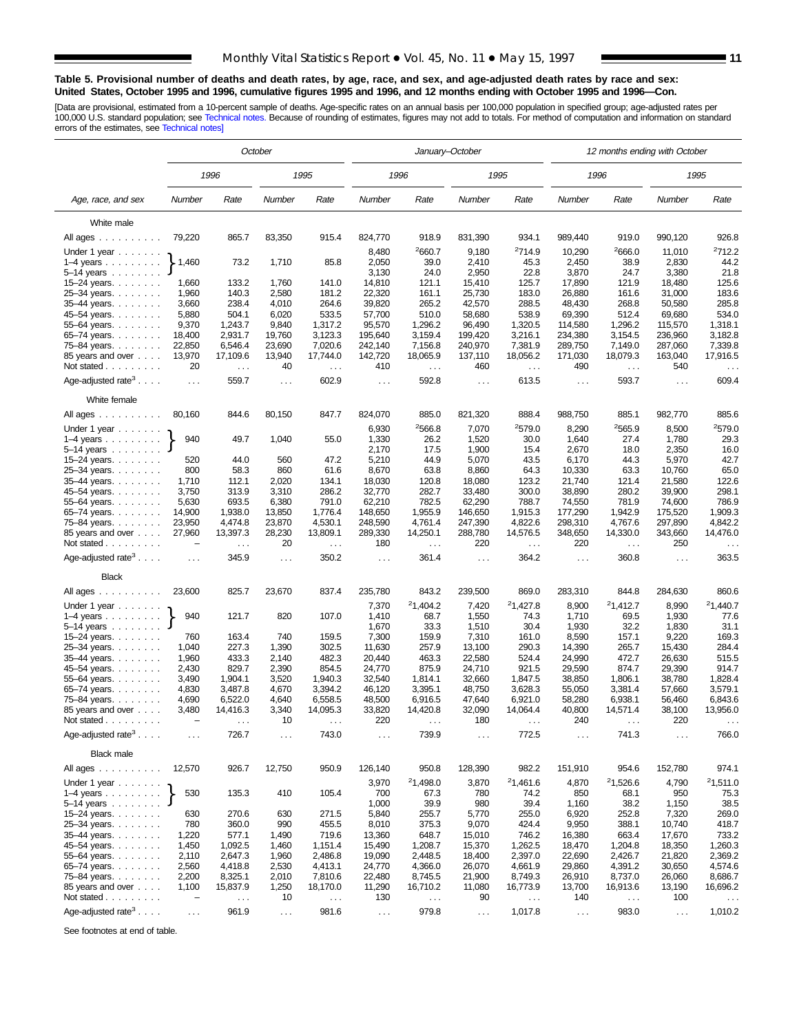#### **Table 5. Provisional number of deaths and death rates, by age, race, and sex, and age-adjusted death rates by race and sex: United States, October 1995 and 1996, cumulative figures 1995 and 1996, and 12 months ending with October 1995 and 1996—Con.**

[Data are provisional, estimated from a 10-percent sample of deaths. Age-specific rates on an annual basis per 100,000 population in specified group; age-adjusted rates per<br>100,000 U.S. standard population; see Technical n

|                                                       | October                            |                           |                |                           |                  | January–October               |                                      |                      | 12 months ending with October |                                  |                    |                           |  |
|-------------------------------------------------------|------------------------------------|---------------------------|----------------|---------------------------|------------------|-------------------------------|--------------------------------------|----------------------|-------------------------------|----------------------------------|--------------------|---------------------------|--|
|                                                       |                                    | 1996                      |                | 1995                      | 1996             |                               |                                      | 1995                 |                               | 1996                             |                    | 1995                      |  |
| Age, race, and sex                                    | Number                             | Rate                      | Number         | Rate                      | Number           | Rate                          | Number                               | Rate                 | Number                        | Rate                             | Number             | Rate                      |  |
| White male                                            |                                    |                           |                |                           |                  |                               |                                      |                      |                               |                                  |                    |                           |  |
| All ages                                              | 79,220                             | 865.7                     | 83,350         | 915.4                     | 824,770          | 918.9                         | 831,390                              | 934.1                | 989,440                       | 919.0                            | 990,120            | 926.8                     |  |
| Under 1 year                                          |                                    |                           |                |                           | 8,480            | 2660.7                        | 9,180                                | <sup>2</sup> 714.9   | 10,290                        | 2666.0                           | 11,010             | 2712.2                    |  |
| $1-4$ years $\ldots$ $\ldots$ .                       | 1,460                              | 73.2                      | 1,710          | 85.8                      | 2,050            | 39.0                          | 2,410                                | 45.3                 | 2,450                         | 38.9                             | 2,830              | 44.2                      |  |
| $5-14$ years                                          |                                    |                           |                |                           | 3,130            | 24.0                          | 2,950                                | 22.8                 | 3,870                         | 24.7                             | 3,380              | 21.8                      |  |
| 15-24 years.                                          | 1,660                              | 133.2                     | 1,760          | 141.0                     | 14,810           | 121.1                         | 15,410                               | 125.7                | 17,890                        | 121.9                            | 18,480             | 125.6                     |  |
| 25-34 years                                           | 1,960                              | 140.3                     | 2,580          | 181.2                     | 22.320           | 161.1                         | 25,730                               | 183.0                | 26,880                        | 161.6                            | 31,000             | 183.6                     |  |
| 35-44 years.                                          | 3,660                              | 238.4                     | 4,010          | 264.6                     | 39,820           | 265.2                         | 288.5<br>42,570                      |                      | 48,430                        | 268.8                            | 50,580             | 285.8                     |  |
| 45–54 years.                                          | 5,880<br>9,370                     | 504.1<br>1,243.7          | 6,020<br>9,840 | 533.5                     | 57,700<br>95,570 | 510.0<br>1,296.2              | 58,680<br>538.9<br>1,320.5<br>96,490 |                      | 69,390                        | 512.4<br>1,296.2                 | 69,680             | 534.0<br>1,318.1          |  |
| 55-64 years.<br>65–74 years                           | 18,400                             | 2,931.7                   | 19,760         | 1,317.2<br>3,123.3        | 195,640          | 3,159.4                       | 199,420                              | 3,216.1              | 114,580<br>234,380            | 3,154.5                          | 115,570<br>236,960 | 3,182.8                   |  |
| 75–84 years.                                          | 22,850                             | 6,546.4                   | 23,690         | 7,020.6                   |                  | 242,140<br>7,156.8<br>240,970 |                                      | 7,381.9              | 289,750                       | 7,149.0                          | 287,060            | 7,339.8                   |  |
| 85 years and over                                     | 13,970                             | 17,109.6                  | 13,940         | 17,744.0                  | 142,720          | 18,065.9                      | 137,110<br>18,056.2                  |                      | 171,030                       | 18,079.3                         | 163,040            | 17,916.5                  |  |
| Not stated                                            | 20                                 | $\sim$ $\sim$             | 40             | $\ldots$                  | 410              | $\sim$ $\sim$                 | 460                                  | $\sim$ $\sim$        | 490                           | $\ldots$                         | 540                | $\ddotsc$                 |  |
| Age-adjusted rate <sup>3</sup> $\ldots$ .             | $\sim 100$                         | 559.7                     | $\ldots$       | 602.9                     | $\sim$ $\sim$    | 592.8                         | $\sim$ .                             | 613.5                | $\sim$ $\sim$                 | 593.7                            | $\cdots$           | 609.4                     |  |
| White female                                          |                                    |                           |                |                           |                  |                               |                                      |                      |                               |                                  |                    |                           |  |
| All ages $\dots$                                      | 80,160                             | 844.6                     | 80,150         | 847.7                     | 824,070          | 885.0                         | 821,320                              | 888.4                | 988,750                       | 885.1                            | 982,770            | 885.6                     |  |
| Under 1 year                                          |                                    |                           |                |                           | 6,930            | 2566.8                        | 7,070                                | <sup>2</sup> 579.0   | 8,290                         | 2565.9                           | 8,500              | <sup>2</sup> 579.0        |  |
| $1-4$ years<br>$5-14$ years $\ldots$                  | 940                                | 49.7                      | 1,040          | 55.0                      | 1,330<br>2,170   | 26.2<br>17.5                  | 1,520                                | 30.0<br>15.4         | 1,640                         | 27.4<br>18.0                     | 1,780<br>2,350     | 29.3<br>16.0              |  |
| 15-24 years.                                          | 520                                | 44.0                      | 560            | 47.2                      | 5,210<br>44.9    |                               | 1,900<br>5,070<br>43.5               |                      | 2,670<br>6,170                | 44.3                             | 5,970              | 42.7                      |  |
| 25-34 years.                                          | 800                                | 58.3                      | 860            | 61.6                      | 8,670            | 63.8                          | 8,860                                | 64.3                 | 10,330                        | 63.3                             | 10,760             | 65.0                      |  |
| 35-44 years.                                          | 1,710                              | 112.1                     | 2,020          | 134.1                     | 18,030           | 120.8                         | 18,080                               | 123.2                | 21,740                        | 121.4                            | 21,580             | 122.6                     |  |
| 45-54 years.                                          | 3,750                              | 313.9                     | 3,310          | 286.2                     | 32,770           | 282.7                         | 33,480                               | 300.0                | 38,890                        | 280.2                            | 39,900             | 298.1                     |  |
| 55-64 years.                                          | 5,630                              | 693.5                     | 6,380          | 791.0                     | 62,210           | 782.5                         | 62,290                               | 788.7                | 74,550                        | 781.9                            | 74,600             | 786.9                     |  |
| 65-74 years.                                          | 14,900                             | 1,938.0                   | 13,850         | 1,776.4                   | 148,650          | 1,955.9                       | 146,650                              | 1,915.3              | 177,290                       | 1,942.9                          | 175,520            | 1,909.3                   |  |
| 75-84 years.                                          | 23,950                             | 4,474.8                   | 23,870         | 4,530.1                   | 248,590          | 4,761.4                       | 247,390                              | 4,822.6              | 298,310                       | 4,767.6                          | 297,890            | 4,842.2                   |  |
| 85 years and over<br>Not stated $\ldots$              | 27,960<br>$\overline{\phantom{0}}$ | 13,397.3<br>$\cdots$      | 28,230<br>20   | 13,809.1<br>$\cdots$      | 289,330<br>180   | 14,250.1<br>$\sim$ .          | 288,780<br>220                       | 14,576.5<br>$\cdots$ | 348,650<br>220                | 14,330.0<br>$\sim$ $\sim$ $\sim$ | 343,660<br>250     | 14,476.0<br>$\sim$ $\sim$ |  |
| Age-adjusted rate <sup>3</sup>                        | $\sim$ .                           | 345.9                     | $\sim 100$     | 350.2                     | $\ldots$         | 361.4                         | $\sim$ $\sim$                        | 364.2                | $\ldots$                      | 360.8                            | $\cdots$           | 363.5                     |  |
| <b>Black</b>                                          |                                    |                           |                |                           |                  |                               |                                      |                      |                               |                                  |                    |                           |  |
| All ages                                              | 23,600                             | 825.7                     | 23,670         | 837.4                     | 235,780          | 843.2                         | 239,500                              | 869.0                | 283,310                       | 844.8                            | 284,630            | 860.6                     |  |
| Under 1 year                                          |                                    |                           |                |                           | 7,370            | 21,404.2                      | 7,420                                | 21,427.8             | 8,900                         | 21,412.7                         | 8,990              | 21,440.7                  |  |
| $1-4$ years                                           | 940                                | 121.7                     | 820            | 107.0                     | 1,410            | 68.7                          | 1,550                                | 74.3                 | 1,710                         | 69.5                             | 1,930              | 77.6                      |  |
| 5–14 years                                            |                                    |                           |                |                           | 1,670            | 33.3                          | 1,510                                | 30.4                 | 1,930                         | 32.2                             | 1,830              | 31.1                      |  |
| 15-24 years.                                          | 760<br>1,040                       | 163.4<br>227.3            | 740<br>1,390   | 159.5<br>302.5            | 7,300<br>11,630  | 159.9                         | 7,310                                | 161.0<br>290.3       | 8,590                         | 157.1                            | 9,220              | 169.3<br>284.4            |  |
| 25-34 years.<br>35-44 years.                          | 1,960                              | 433.3                     | 2,140          | 482.3                     | 20,440           | 257.9<br>463.3                | 13,100<br>22,580                     | 524.4                | 14,390<br>24,990              | 265.7<br>472.7                   | 15,430<br>26,630   | 515.5                     |  |
| 45-54 years.                                          | 2,430                              | 829.7                     | 2,390          | 854.5                     | 24,770           | 875.9                         | 24,710                               | 921.5                | 29,590                        | 874.7                            | 29,390             | 914.7                     |  |
| 55-64 years.                                          | 3,490                              | 1,904.1                   | 3,520          | 1,940.3                   | 32,540           | 1,814.1                       | 32,660                               | 1,847.5              | 38,850                        | 1,806.1                          | 38,780             | 1,828.4                   |  |
| 65-74 years.                                          | 4,830                              | 3,487.8                   | 4,670          | 3,394.2                   | 46,120           | 3,395.1                       | 48,750                               | 3,628.3              | 55,050                        | 3,381.4                          | 57,660             | 3.579.1                   |  |
| 75-84 years.                                          | 4,690                              | 6,522.0                   | 4,640          | 6,558.5                   | 48,500           | 6,916.5                       | 47,640                               | 6,921.0              | 58,280                        | 6,938.1                          | 56,460             | 6,843.6                   |  |
| 85 years and over                                     | 3,480                              | 14,416.3                  | 3,340          | 14,095.3                  | 33,820           | 14,420.8                      | 32,090                               | 14,064.4             | 40,800                        | 14,571.4                         | 38,100             | 13,956.0                  |  |
| Not stated $\ldots$<br>Age-adjusted rate <sup>3</sup> | $\equiv$                           | 726.7                     | 10             | 743.0                     | 220              | 739.9                         | 180                                  | 772.5                | 240                           | 741.3                            | 220                | 766.0                     |  |
|                                                       | $\sim 100$                         |                           | $\cdots$       |                           | $\cdots$         |                               | $\cdots$                             |                      | $\cdots$                      |                                  | $\cdots$           |                           |  |
| <b>Black male</b><br>All ages                         | 12,570                             | 926.7                     | 12,750         | 950.9                     | 126,140          | 950.8                         | 128,390                              | 982.2                | 151,910                       | 954.6                            | 152,780            | 974.1                     |  |
|                                                       |                                    |                           |                |                           |                  | 21,498.0                      | 3,870                                | 21,461.6             |                               | 21,526.6                         | 4,790              | 21,511.0                  |  |
| Under 1 year<br>$1-4$ years $\ldots$                  | 530                                | 135.3                     | 410            | 105.4                     | 3,970<br>700     | 67.3                          | 780                                  | 74.2                 | 4,870<br>850                  | 68.1                             | 950                | 75.3                      |  |
| $5-14$ years $\ldots$                                 |                                    |                           |                |                           | 1,000            | 39.9                          | 980                                  | 39.4                 | 1,160                         | 38.2                             | 1,150              | 38.5                      |  |
| 15-24 years.                                          | 630                                | 270.6                     | 630            | 271.5                     | 5,840            | 255.7                         | 5,770                                | 255.0                | 6,920                         | 252.8                            | 7,320              | 269.0                     |  |
| 25-34 years.                                          | 780                                | 360.0                     | 990            | 455.5                     | 8,010            | 375.3                         | 9,070                                | 424.4                | 9,950                         | 388.1                            | 10,740             | 418.7                     |  |
| 35-44 years.                                          | 1,220                              | 577.1                     | 1,490          | 719.6                     | 13,360           | 648.7                         | 15,010                               | 746.2                | 16,380                        | 663.4                            | 17,670             | 733.2                     |  |
| 45-54 years.                                          | 1,450                              | 1,092.5                   | 1,460          | 1,151.4                   | 15,490           | 1,208.7                       | 15,370                               | 1,262.5              | 18,470                        | 1,204.8                          | 18,350             | 1,260.3                   |  |
| 55–64 years                                           | 2,110                              | 2,647.3                   | 1,960          | 2,486.8                   | 19,090           | 2,448.5                       | 18,400                               | 2,397.0              | 22,690                        | 2,426.7                          | 21,820             | 2,369.2                   |  |
| 65–74 years                                           | 2,560                              | 4,418.8                   | 2,530          | 4,413.1                   | 24,770           | 4,366.0                       | 26,070                               | 4,661.9              | 29,860                        | 4,391.2                          | 30,650             | 4,574.6                   |  |
| 75-84 years.                                          | 2,200                              | 8,325.1                   | 2,010          | 7,810.6                   | 22,480           | 8,745.5                       | 21,900                               | 8,749.3              | 26,910                        | 8,737.0                          | 26,060             | 8,686.7                   |  |
| 85 years and over<br>Not stated                       | 1,100<br>$\overline{\phantom{m}}$  | 15,837.9<br>$\sim$ $\sim$ | 1,250<br>10    | 18,170.0<br>$\sim$ $\sim$ | 11,290<br>130    | 16,710.2<br>$\sim$ $\sim$     | 11,080<br>90                         | 16,773.9<br>$\sim$ . | 13,700<br>140                 | 16,913.6<br>$\sim$               | 13,190<br>100      | 16,696.2<br>$\ddotsc$     |  |
|                                                       |                                    |                           |                |                           |                  |                               |                                      |                      |                               |                                  |                    |                           |  |
| Age-adjusted rate <sup>3</sup>                        | $\sim$ $\sim$                      | 961.9                     | $\sim$ .       | 981.6                     | $\sim$ $\sim$    | 979.8                         | $\sim$ $\sim$                        | 1,017.8              | $\sim$ $\sim$                 | 983.0                            | $\sim 100$         | 1,010.2                   |  |

See footnotes at end of table.

 $\overline{\phantom{a}}$ 

÷,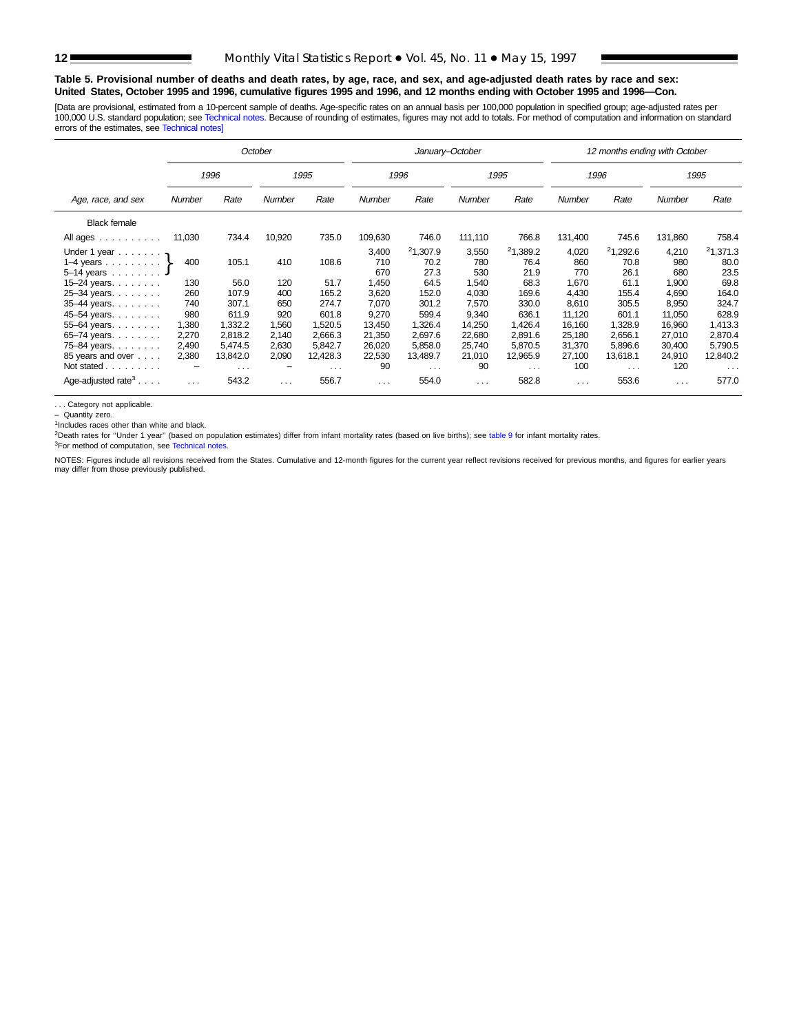#### **Table 5. Provisional number of deaths and death rates, by age, race, and sex, and age-adjusted death rates by race and sex: United States, October 1995 and 1996, cumulative figures 1995 and 1996, and 12 months ending with October 1995 and 1996—Con.**

[Data are provisional, estimated from a 10-percent sample of deaths. Age-specific rates on an annual basis per 100,000 population in specified group; age-adjusted rates per<br>100,000 U.S. standard population; see Technical n errors of the estimates, see [Technical notes\]](#page-16-0)

|                                         | October  |                      |          |                      |          | January-October      |                      |                      | 12 months ending with October |                      |                      |                      |  |  |
|-----------------------------------------|----------|----------------------|----------|----------------------|----------|----------------------|----------------------|----------------------|-------------------------------|----------------------|----------------------|----------------------|--|--|
|                                         |          | 1996                 |          | 1995                 |          | 1996                 |                      | 1995                 |                               | 1996                 |                      | 1995                 |  |  |
| Age, race, and sex                      | Number   | Rate                 | Number   | Rate                 | Number   | Rate                 | <b>Number</b>        | Rate                 | Number                        | Rate                 | Number               | Rate                 |  |  |
| <b>Black female</b>                     |          |                      |          |                      |          |                      |                      |                      |                               |                      |                      |                      |  |  |
| All ages                                | 11,030   | 734.4                | 10,920   | 735.0                | 109,630  | 746.0                | 111,110              | 766.8                | 131,400                       | 745.6                | 131,860              | 758.4                |  |  |
| Under 1 year $\cdot$                    |          |                      |          |                      | 3,400    | 21,307.9             | 3,550                | 21,389.2             | 4,020                         | 21,292.6             | 4,210                | 21,371.3             |  |  |
| 1–4 years $\ldots$ $\ldots$ $\}$        | 400      | 105.1                | 410      | 108.6                | 710      | 70.2                 | 780                  | 76.4                 | 860                           | 70.8                 | 980                  | 80.0                 |  |  |
| $5 - 14$ years                          |          |                      |          |                      | 670      | 27.3                 | 530                  | 21.9                 | 770                           | 26.1                 | 680                  | 23.5                 |  |  |
| 15-24 years.                            | 130      | 56.0                 | 120      | 51.7                 | 1,450    | 64.5                 | 1,540                | 68.3                 | 1,670                         | 61.1                 | 1,900                | 69.8                 |  |  |
| 25-34 years.                            | 260      | 107.9                | 400      | 165.2                | 3,620    | 152.0                | 4,030                | 169.6                | 4.430                         | 155.4                | 4,690                | 164.0                |  |  |
| 35-44 years.                            | 740      | 307.1                | 650      | 274.7                | 7,070    | 301.2                | 7,570                | 330.0                | 8,610                         | 305.5                | 8,950                | 324.7                |  |  |
| 45-54 years.                            | 980      | 611.9                | 920      | 601.8                | 9,270    | 599.4                | 9,340                | 636.1                | 11,120                        | 601.1                | 11,050               | 628.9                |  |  |
| 55-64 years.                            | 1,380    | 1,332.2              | 1,560    | 1,520.5              | 13,450   | 1,326.4              | 14,250               | 1,426.4              | 16,160                        | 1,328.9              | 16,960               | 1,413.3              |  |  |
| 65-74 years.                            | 2,270    | 2,818.2              | 2,140    | 2,666.3              | 21,350   | 2,697.6              | 22,680               | 2,891.6              | 25,180                        | 2,656.1              | 27,010               | 2,870.4              |  |  |
| 75-84 years.                            | 2,490    | 5,474.5              | 2,630    | 5,842.7              | 26,020   | 5,858.0              | 25,740               | 5,870.5              | 31,370                        | 5,896.6              | 30,400               | 5,790.5              |  |  |
| 85 years and over                       | 2,380    | 13,842.0             | 2,090    | 12,428.3             | 22,530   | 13,489.7             | 21,010               | 12,965.9             | 27,100                        | 13,618.1             | 24,910               | 12,840.2             |  |  |
| Not stated                              | -        | $\sim$ $\sim$ $\sim$ | -        | $\sim$ $\sim$ $\sim$ | 90       | $\sim$ $\sim$ $\sim$ | 90                   | $\sim$ $\sim$ $\sim$ | 100                           | $\sim$ $\sim$ $\sim$ | 120                  | $\sim$ $\sim$ $\sim$ |  |  |
| Age-adjusted rate <sup>3</sup> $\ldots$ | $\cdots$ | 543.2                | $\cdots$ | 556.7                | $\cdots$ | 554.0                | $\sim$ $\sim$ $\sim$ | 582.8                | $\sim$ $\sim$ $\sim$          | 553.6                | $\sim$ $\sim$ $\sim$ | 577.0                |  |  |

. . . Category not applicable.

– Quantity zero.

 $1$ Includes races other than white and black.

<sup>2</sup>Death rates for "Under 1 year" (based on population estimates) differ from infant mortality rates (based on live births); see table 9 for infant mortality rates.

<sup>3</sup>For method of computation, see [Technical notes.](#page-16-0)

NOTES: Figures include all revisions received from the States. Cumulative and 12-month figures for the current year reflect revisions received for previous months, and figures for earlier years may differ from those previously published.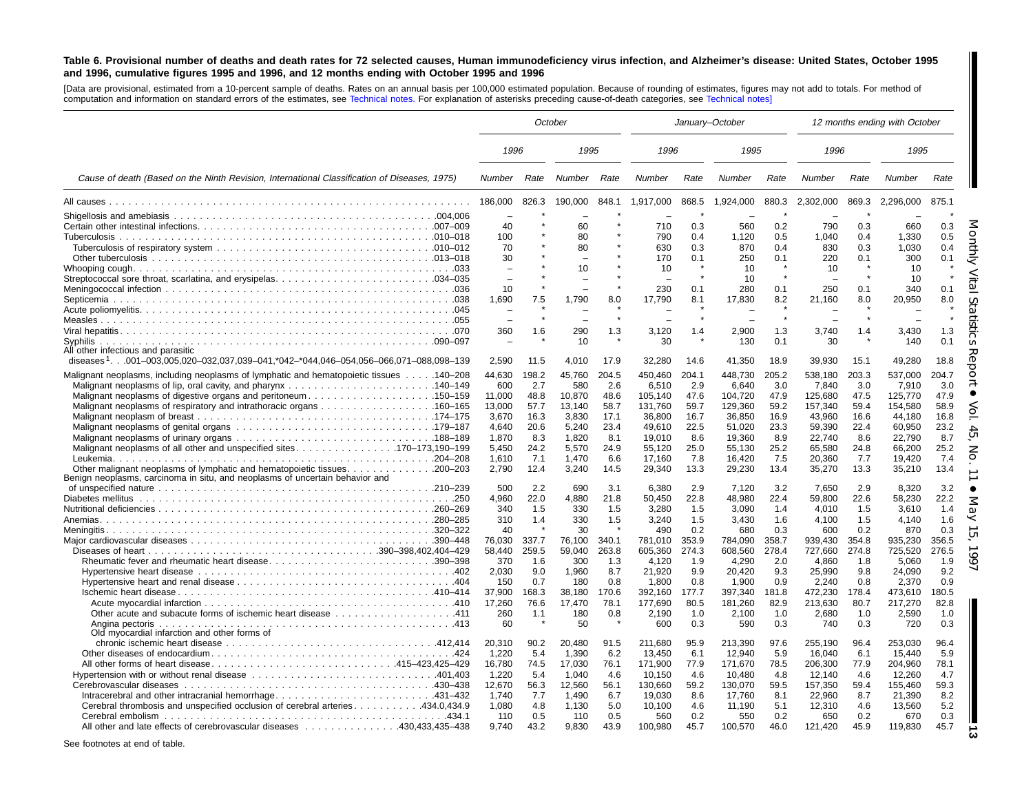#### <span id="page-12-0"></span>Table 6. Provisional number of deaths and death rates for 72 selected causes, Human immunodeficiency virus infection, and Alzheimer's disease: United States, October 1995 and 1996, cumulative figures 1995 and 1996, and 12 months ending with October 1995 and 1996

[Data are provisional, estimated from <sup>a</sup> 10-percent sample of deaths. Rates on an annual basis per 100,000 estimated population. Because of rounding of estimates, figures may not add to totals. For method of computation and information on standard errors of the estimates, see [Technical](#page-16-0) notes. For explanation of asterisks preceding cause-of-death categories, see [Technical](#page-16-0) notes]

|                                                                                                                                                                                                                                                                                                                   |                                                                                                      |                                                                                         | October                                                                                              | January-October                                                                         |                                                                                                                     |                                                                                         |                                                                                                                     |                                                                                         | 12 months ending with October                                                                                       |                                                                                         |                                                                                                                     |                                                                                                                                |
|-------------------------------------------------------------------------------------------------------------------------------------------------------------------------------------------------------------------------------------------------------------------------------------------------------------------|------------------------------------------------------------------------------------------------------|-----------------------------------------------------------------------------------------|------------------------------------------------------------------------------------------------------|-----------------------------------------------------------------------------------------|---------------------------------------------------------------------------------------------------------------------|-----------------------------------------------------------------------------------------|---------------------------------------------------------------------------------------------------------------------|-----------------------------------------------------------------------------------------|---------------------------------------------------------------------------------------------------------------------|-----------------------------------------------------------------------------------------|---------------------------------------------------------------------------------------------------------------------|--------------------------------------------------------------------------------------------------------------------------------|
|                                                                                                                                                                                                                                                                                                                   | 1996                                                                                                 |                                                                                         | 1995                                                                                                 |                                                                                         | 1996                                                                                                                |                                                                                         | 1995                                                                                                                |                                                                                         | 1996                                                                                                                |                                                                                         | 1995                                                                                                                |                                                                                                                                |
| Cause of death (Based on the Ninth Revision, International Classification of Diseases, 1975)                                                                                                                                                                                                                      | Number                                                                                               | Rate                                                                                    | Number                                                                                               | Rate                                                                                    | Number                                                                                                              | Rate                                                                                    | Number                                                                                                              | Rate                                                                                    | Number                                                                                                              | Rate                                                                                    | Number                                                                                                              | Rate                                                                                                                           |
|                                                                                                                                                                                                                                                                                                                   | 186,000                                                                                              | 826.3                                                                                   | 190,000                                                                                              | 848.1                                                                                   | 1,917,000                                                                                                           | 868.5                                                                                   | 1,924,000                                                                                                           | 880.3                                                                                   | 2,302,000                                                                                                           | 869.3                                                                                   | 2,296,000                                                                                                           | 875.1                                                                                                                          |
|                                                                                                                                                                                                                                                                                                                   | 40<br>100<br>70<br>30                                                                                |                                                                                         | 60<br>80<br>80                                                                                       |                                                                                         | 710<br>790<br>630<br>170                                                                                            | 0.3<br>0.4<br>0.3<br>0.1                                                                | 560<br>1,120<br>870<br>250                                                                                          | 0.2<br>0.5<br>0.4<br>0.1                                                                | 790<br>1,040<br>830<br>220                                                                                          | 0.3<br>0.4<br>0.3<br>0.1                                                                | 660<br>1,330<br>1.030<br>300                                                                                        | 0.3<br>O<br>0.5<br>0.4<br>0.1                                                                                                  |
|                                                                                                                                                                                                                                                                                                                   | 10<br>1,690                                                                                          | 7.5                                                                                     | 10<br>1,790                                                                                          | 8.0                                                                                     | 10<br>230<br>17,790                                                                                                 | 0.1<br>8.1                                                                              | 10<br>10<br>280<br>17,830                                                                                           | 0.1<br>8.2                                                                              | 10<br>250<br>21,160                                                                                                 | 0.1<br>8.0                                                                              | 10<br>10<br>340<br>20,950                                                                                           | $\omega$<br>0.1<br>8.0                                                                                                         |
|                                                                                                                                                                                                                                                                                                                   | $\equiv$                                                                                             |                                                                                         |                                                                                                      |                                                                                         |                                                                                                                     |                                                                                         |                                                                                                                     |                                                                                         |                                                                                                                     |                                                                                         |                                                                                                                     | $\omega$                                                                                                                       |
| All other infectious and parasitic                                                                                                                                                                                                                                                                                | 360                                                                                                  | 1.6                                                                                     | 290<br>10                                                                                            | 1.3                                                                                     | 3,120<br>30                                                                                                         | 1.4                                                                                     | 2.900<br>130                                                                                                        | 1.3<br>0.1                                                                              | 3,740<br>30                                                                                                         | 1.4                                                                                     | 3.430<br>140                                                                                                        | 1.3<br>0.1                                                                                                                     |
| diseases <sup>1</sup> 001–003.005.020–032.037.039–041.*042–*044.046–054.056–066.071–088.098–139<br>Malignant neoplasms, including neoplasms of lymphatic and hematopoietic tissues 140–208                                                                                                                        | 2.590<br>44,630                                                                                      | 11.5<br>198.2                                                                           | 4.010<br>45,760                                                                                      | 17.9<br>204.5                                                                           | 32,280<br>450,460                                                                                                   | 14.6<br>204.1                                                                           | 41,350<br>448,730                                                                                                   | 18.9<br>205.2                                                                           | 39,930<br>538,180                                                                                                   | 15.1<br>203.3                                                                           | 49.280<br>537,000                                                                                                   | 18.8<br>O<br>C<br>204.7                                                                                                        |
| Malignant neoplasms of digestive organs and peritoneum150–159<br>Malignant neoplasms of respiratory and intrathoracic organs 160–165<br>Other malignant neoplasms of lymphatic and hematopoietic tissues. 200–203<br>Benign neoplasms, carcinoma in situ, and neoplasms of uncertain behavior and                 | 600<br>11,000<br>13.000<br>3,670<br>4.640<br>1,870<br>5.450<br>1.610<br>2,790<br>500<br>4,960<br>340 | 2.7<br>48.8<br>57.7<br>16.3<br>20.6<br>8.3<br>24.2<br>7.1<br>12.4<br>2.2<br>22.0<br>1.5 | 580<br>10,870<br>13.140<br>3,830<br>5.240<br>1,820<br>5.570<br>1.470<br>3,240<br>690<br>4,880<br>330 | 2.6<br>48.6<br>58.7<br>17.1<br>23.4<br>8.1<br>24.9<br>6.6<br>14.5<br>3.1<br>21.8<br>1.5 | 6,510<br>105,140<br>131.760<br>36,800<br>49.610<br>19.010<br>55.120<br>17.160<br>29,340<br>6.380<br>50,450<br>3,280 | 2.9<br>47.6<br>59.7<br>16.7<br>22.5<br>8.6<br>25.0<br>7.8<br>13.3<br>2.9<br>22.8<br>1.5 | 6,640<br>104,720<br>129,360<br>36,850<br>51.020<br>19,360<br>55.130<br>16.420<br>29,230<br>7.120<br>48,980<br>3,090 | 3.0<br>47.9<br>59.2<br>16.9<br>23.3<br>8.9<br>25.2<br>7.5<br>13.4<br>3.2<br>22.4<br>1.4 | 7,840<br>125,680<br>157,340<br>43,960<br>59,390<br>22,740<br>65,580<br>20.360<br>35,270<br>7,650<br>59,800<br>4,010 | 3.0<br>47.5<br>59.4<br>16.6<br>22.4<br>8.6<br>24.8<br>7.7<br>13.3<br>2.9<br>22.6<br>1.5 | 7,910<br>125,770<br>154.580<br>44,180<br>60.950<br>22,790<br>66.200<br>19.420<br>35,210<br>8,320<br>58,230<br>3,610 | 3.0<br>47.9<br>58.9<br>16.8<br>23.2<br>$\Delta$<br>Ġ<br>8.7<br>25.2<br>Z<br>7.4<br>O<br>13.4<br>3.2<br>22.2<br>1.4<br>$\Omega$ |
| Rheumatic fever and rheumatic heart disease390-398                                                                                                                                                                                                                                                                | 310<br>40<br>76.030<br>58,440<br>370                                                                 | 1.4<br>337.7<br>259.5<br>1.6                                                            | 330<br>30<br>76.100<br>59,040<br>300                                                                 | 1.5<br>340.1<br>263.8<br>1.3                                                            | 3,240<br>490<br>781.010<br>605,360<br>4,120                                                                         | 1.5<br>0.2<br>353.9<br>274.3<br>1.9                                                     | 3,430<br>680<br>784.090<br>608,560<br>4,290                                                                         | 1.6<br>0.3<br>358.7<br>278.4<br>2.0                                                     | 4,100<br>600<br>939.430<br>727,660<br>4,860                                                                         | 1.5<br>0.2<br>354.8<br>274.8<br>1.8                                                     | 4,140<br>870<br>935.230<br>725,520<br>5,060                                                                         | 1.6<br>0.3<br>$\sigma$<br>356.5<br>276.5<br>1.9                                                                                |
| 0ther acute and subacute forms of ischemic heart disease 411                                                                                                                                                                                                                                                      | 2,030<br>150<br>37.900<br>17.260<br>260<br>60                                                        | 9.0<br>0.7<br>168.3<br>76.6<br>1.1                                                      | 1,960<br>180<br>38.180<br>17,470<br>180<br>50                                                        | 8.7<br>0.8<br>170.6<br>78.1<br>0.8                                                      | 21,920<br>1.800<br>392.160<br>177,690<br>2.190<br>600                                                               | 9.9<br>0.8<br>177.7<br>80.5<br>1.0<br>0.3                                               | 20,420<br>1,900<br>397,340<br>181,260<br>2,100<br>590                                                               | 9.3<br>0.9<br>181.8<br>82.9<br>1.0<br>0.3                                               | 25,990<br>2.240<br>472,230<br>213,630<br>2,680<br>740                                                               | 9.8<br>0.8<br>178.4<br>80.7<br>1.0<br>0.3                                               | 24,090<br>2.370<br>473.610<br>217.270<br>2,590<br>720                                                               | 9.2<br>0.9<br>180.5<br>82.8<br>1.0<br>0.3                                                                                      |
| Old myocardial infarction and other forms of<br>All other forms of heart disease415–423,425–429<br>Hypertension with or without renal disease 401,403<br>Cerebral thrombosis and unspecified occlusion of cerebral arteries 434.0,434.9<br>All other and late effects of cerebrovascular diseases 430.433.435–438 | 20,310<br>1,220<br>16,780<br>1.220<br>12,670<br>1.740<br>1,080<br>110<br>9.740                       | 90.2<br>5.4<br>74.5<br>5.4<br>56.3<br>7.7<br>4.8<br>0.5<br>43.2                         | 20.480<br>1,390<br>17,030<br>1.040<br>12,560<br>1.490<br>1,130<br>110<br>9.830                       | 91.5<br>6.2<br>76.1<br>4.6<br>56.1<br>6.7<br>5.0<br>0.5<br>43.9                         | 211,680<br>13,450<br>171,900<br>10,150<br>130,660<br>19,030<br>10,100<br>560<br>100,980                             | 95.9<br>6.1<br>77.9<br>4.6<br>59.2<br>8.6<br>4.6<br>0.2<br>45.7                         | 213,390<br>12,940<br>171,670<br>10.480<br>130,070<br>17,760<br>11,190<br>550<br>100,570                             | 97.6<br>5.9<br>78.5<br>4.8<br>59.5<br>8.1<br>5.1<br>0.2<br>46.0                         | 255,190<br>16,040<br>206,300<br>12.140<br>157,350<br>22,960<br>12,310<br>650<br>121,420                             | 96.4<br>6.1<br>77.9<br>4.6<br>59.4<br>8.7<br>4.6<br>0.2<br>45.9                         | 253,030<br>15,440<br>204,960<br>12.260<br>155,460<br>21.390<br>13,560<br>670<br>119,830                             | 96.4<br>5.9<br>78.1<br>4.7<br>59.3<br>8.2<br>5.2<br>0.3<br>45.7                                                                |

See footnotes at end of table.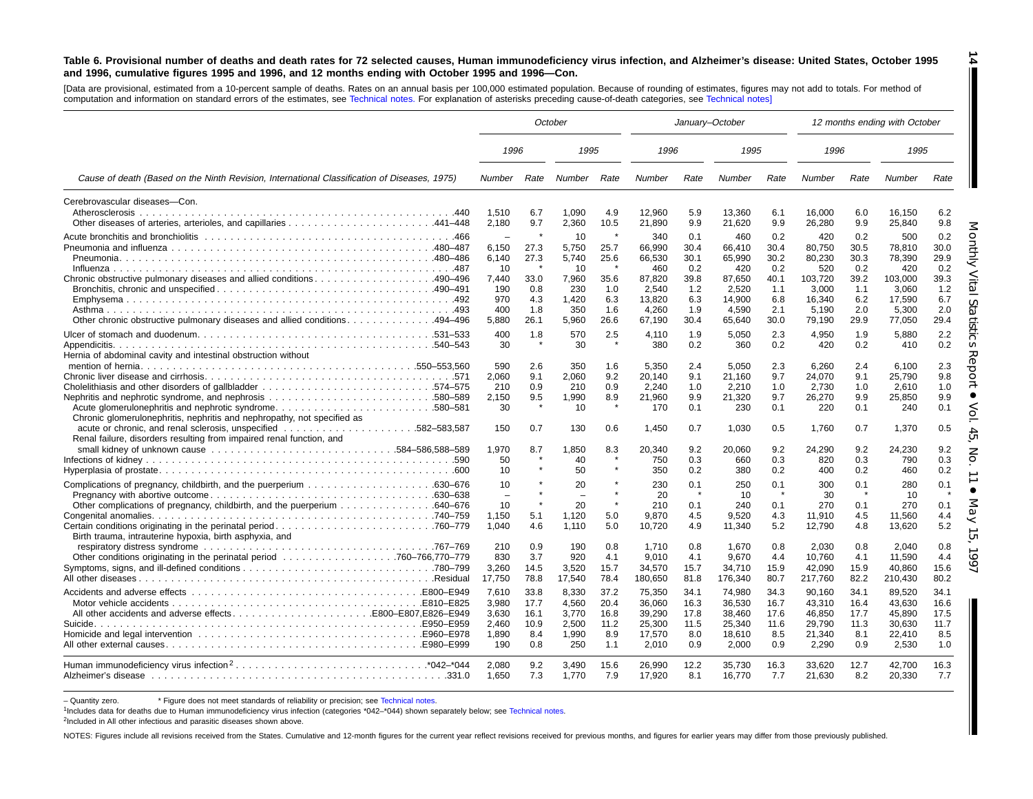#### Table 6. Provisional number of deaths and death rates for 72 selected causes, Human immunodeficiency virus infection, and Alzheimer's disease: United States, October 1995 and 1996, cumulative figures 1995 and 1996, and 12 months ending with October 1995 and 1996-Con.

[Data are provisional, estimated from <sup>a</sup> 10-percent sample of deaths. Rates on an annual basis per 100,000 estimated population. Because of rounding of estimates, figures may not add to totals. For method of computation and information on standard errors of the estimates, see [Technical](#page-16-0) notes. For explanation of asterisks preceding cause-of-death categories, see [Technical](#page-16-0) notes]

|                                                                                                                                                                                                                | October                                          |                                            |                                                  |                                            |                                                         | January-October                            |                                                         |                                            |                                                         |                                            | 12 months ending with October                           |                                            |
|----------------------------------------------------------------------------------------------------------------------------------------------------------------------------------------------------------------|--------------------------------------------------|--------------------------------------------|--------------------------------------------------|--------------------------------------------|---------------------------------------------------------|--------------------------------------------|---------------------------------------------------------|--------------------------------------------|---------------------------------------------------------|--------------------------------------------|---------------------------------------------------------|--------------------------------------------|
|                                                                                                                                                                                                                | 1996                                             |                                            | 1995                                             |                                            | 1996                                                    |                                            | 1995                                                    |                                            | 1996                                                    |                                            | 1995                                                    |                                            |
| Cause of death (Based on the Ninth Revision, International Classification of Diseases, 1975)                                                                                                                   | Number                                           | Rate                                       | Number                                           | Rate                                       | Number                                                  | Rate                                       | <b>Number</b>                                           | Rate                                       | Number                                                  | Rate                                       | Number                                                  | Rate                                       |
| Cerebrovascular diseases-Con.<br>Atherosclerosis                                                                                                                                                               | 1.510<br>2,180                                   | 6.7<br>9.7                                 | 1.090<br>2,360                                   | 4.9<br>10.5                                | 12,960<br>21,890                                        | 5.9<br>9.9                                 | 13,360<br>21,620                                        | 6.1<br>9.9                                 | 16.000<br>26,280                                        | 6.0<br>9.9                                 | 16.150<br>25,840                                        | 6.2<br>9.8                                 |
|                                                                                                                                                                                                                | 6,150<br>6.140<br>10                             | 27.3<br>27.3                               | 10<br>5,750<br>5.740<br>10                       | $\pmb{\ast}$<br>25.7<br>25.6               | 340<br>66,990<br>66.530<br>460                          | 0.1<br>30.4<br>30.1<br>0.2                 | 460<br>66,410<br>65.990<br>420                          | 0.2<br>30.4<br>30.2<br>0.2                 | 420<br>80,750<br>80.230<br>520                          | 0.2<br>30.5<br>30.3<br>0.2                 | 500<br>78,810<br>78.390<br>420                          | 0.2<br>30.0<br>29.9<br>0.2                 |
| .494–496. 494–496. Other chronic obstructive pulmonary diseases and allied conditions. 494–496                                                                                                                 | 7.440<br>190<br>970<br>400<br>5.880              | 33.0<br>0.8<br>4.3<br>1.8<br>26.1          | 7.960<br>230<br>1.420<br>350<br>5.960            | 35.6<br>1.0<br>6.3<br>1.6<br>26.6          | 87.820<br>2,540<br>13,820<br>4,260<br>67,190            | 39.8<br>1.2<br>6.3<br>1.9<br>30.4          | 87.650<br>2,520<br>14.900<br>4,590<br>65,640            | 40.1<br>1.1<br>6.8<br>2.1<br>30.0          | 103.720<br>3.000<br>16,340<br>5,190<br>79,190           | 39.2<br>1.1<br>6.2<br>2.0<br>29.9          | 103.000<br>3.060<br>17.590<br>5,300<br>77,050           | 39.3<br>1.2<br>6.7<br>2.0<br>29.4          |
| Hernia of abdominal cavity and intestinal obstruction without                                                                                                                                                  | 400<br>30                                        | 1.8                                        | 570<br>30                                        | 2.5                                        | 4,110<br>380                                            | 1.9<br>0.2                                 | 5.050<br>360                                            | 2.3<br>0.2                                 | 4.950<br>420                                            | 1.9<br>0.2                                 | 5,880<br>410                                            | 2.2<br>0.2                                 |
| .580–580 notice alomery longer photospheric syndrome580–581<br>Chronic glomerulonephritis, nephritis and nephropathy, not specified as<br>Renal failure, disorders resulting from impaired renal function, and | 590<br>2,060<br>210<br>2,150<br>30<br>150        | 2.6<br>9.1<br>0.9<br>9.5<br>0.7            | 350<br>2,060<br>210<br>1,990<br>10<br>130        | 1.6<br>9.2<br>0.9<br>8.9<br>0.6            | 5,350<br>20.140<br>2,240<br>21,960<br>170<br>1,450      | 2.4<br>9.1<br>1.0<br>9.9<br>0.1<br>0.7     | 5.050<br>21,160<br>2,210<br>21,320<br>230<br>1,030      | 2.3<br>9.7<br>1.0<br>9.7<br>0.1<br>0.5     | 6.260<br>24,070<br>2.730<br>26,270<br>220<br>1.760      | 2.4<br>9.1<br>1.0<br>9.9<br>0.1<br>0.7     | 6.100<br>25,790<br>2.610<br>25,850<br>240<br>1,370      | 2.3<br>9.8<br>1.0<br>9.9<br>0.1<br>0.5     |
|                                                                                                                                                                                                                | 1.970<br>50<br>10                                | 8.7                                        | 1.850<br>40<br>50                                | 8.3                                        | 20.340<br>750<br>350                                    | 9.2<br>0.3<br>0.2                          | 20.060<br>660<br>380                                    | 9.2<br>0.3<br>0.2                          | 24.290<br>820<br>400                                    | 9.2<br>0.3<br>0.2                          | 24.230<br>790<br>460                                    | 9.2<br>0.3<br>0.2                          |
| Other complications of pregnancy, childbirth, and the puerperium 640–676                                                                                                                                       | 10<br>$\equiv$<br>10<br>1,150<br>1,040           | 5.1<br>4.6                                 | 20<br>$\equiv$<br>20<br>1.120<br>1.110           | 5.0<br>5.0                                 | 230<br>20<br>210<br>9.870<br>10,720                     | 0.1<br>$\star$<br>0.1<br>4.5<br>4.9        | 250<br>10<br>240<br>9.520<br>11,340                     | 0.1<br>$\star$<br>0.1<br>4.3<br>5.2        | 300<br>30<br>270<br>11.910<br>12,790                    | 0.1<br>0.1<br>4.5<br>4.8                   | 280<br>10<br>270<br>11.560<br>13,620                    | 0.1<br>0.1<br>4.4<br>5.2                   |
| Birth trauma, intrauterine hypoxia, birth asphyxia, and                                                                                                                                                        | 210<br>830<br>3,260<br>17,750                    | 0.9<br>3.7<br>14.5<br>78.8                 | 190<br>920<br>3,520<br>17,540                    | 0.8<br>4.1<br>15.7<br>78.4                 | 1.710<br>9.010<br>34,570<br>180,650                     | 0.8<br>4.1<br>15.7<br>81.8                 | 1.670<br>9.670<br>34,710<br>176,340                     | 0.8<br>4.4<br>15.9<br>80.7                 | 2.030<br>10.760<br>42,090<br>217,760                    | 0.8<br>4.1<br>15.9<br>82.2                 | 2.040<br>11.590<br>40,860<br>210,430                    | 0.8<br>4.4<br>15.6<br>80.2                 |
| All other accidents and adverse effectsE800-E807,E826-E949                                                                                                                                                     | 7,610<br>3.980<br>3,630<br>2.460<br>1,890<br>190 | 33.8<br>17.7<br>16.1<br>10.9<br>8.4<br>0.8 | 8,330<br>4.560<br>3,770<br>2.500<br>1,990<br>250 | 37.2<br>20.4<br>16.8<br>11.2<br>8.9<br>1.1 | 75,350<br>36.060<br>39,290<br>25,300<br>17,570<br>2,010 | 34.1<br>16.3<br>17.8<br>11.5<br>8.0<br>0.9 | 74,980<br>36.530<br>38,460<br>25,340<br>18,610<br>2.000 | 34.3<br>16.7<br>17.6<br>11.6<br>8.5<br>0.9 | 90,160<br>43.310<br>46,850<br>29.790<br>21,340<br>2.290 | 34.1<br>16.4<br>17.7<br>11.3<br>8.1<br>0.9 | 89,520<br>43.630<br>45,890<br>30.630<br>22,410<br>2.530 | 34.1<br>16.6<br>17.5<br>11.7<br>8.5<br>1.0 |
|                                                                                                                                                                                                                | 2.080<br>1.650                                   | 9.2<br>7.3                                 | 3.490<br>1,770                                   | 15.6<br>7.9                                | 26.990<br>17,920                                        | 12.2<br>8.1                                | 35.730<br>16,770                                        | 16.3<br>7.7                                | 33.620<br>21.630                                        | 12.7<br>8.2                                | 42.700<br>20,330                                        | 16.3<br>7.7                                |

- Quantity zero. \* Figure does not meet standards of reliability or precision; see [Technical](#page-16-0) notes.

1Includes data for deaths due to Human immunodeficiency virus infection (categories \*042–\*044) shown separately below; see [Technical](#page-16-0) notes.

<sup>2</sup>Included in All other infectious and parasitic diseases shown above.

NOTES: Figures include all revisions received from the States. Cumulative and 12-month figures for the current year reflect revisions received for previous months, and figures for earlier years may differ from those previo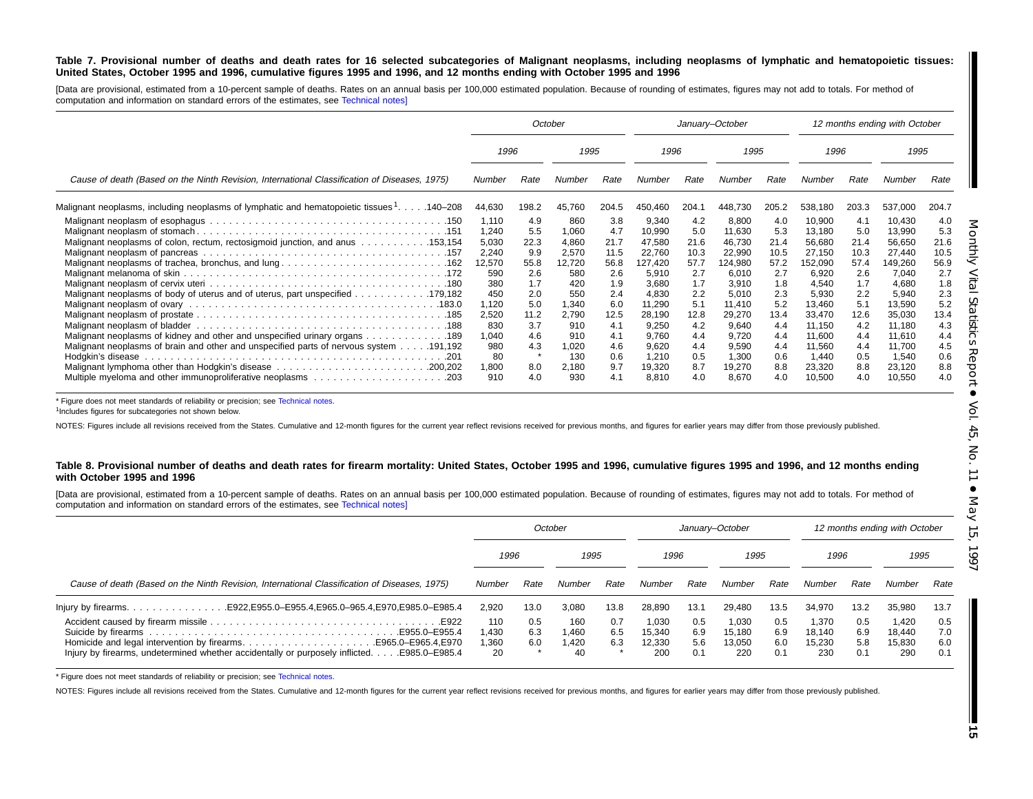#### Table 7. Provisional number of deaths and death rates for 16 selected subcategories of Malignant neoplasms, including neoplasms of lymphatic and hematopoietic tissues: United States, October 1995 and 1996, cumulative figures 1995 and 1996, and 12 months ending with October 1995 and 1996

[Data are provisional, estimated from a 10-percent sample of deaths. Rates on an annual basis per 100,000 estimated population. Because of rounding of estimates, figures may not add to totals. For method of computation and information on standard errors of the estimates, see [Technical](#page-16-0) notes]

|                                                                                                                                                                                                                                                                                   |                                                                                          | October                                                                      |                                                                                        |                                                                               | January-October                                                                                        |                                                                               |                                                                                                        |                                                                               |                                                                                                          |                                                                               | 12 months ending with October                                                                            |                                                                               |
|-----------------------------------------------------------------------------------------------------------------------------------------------------------------------------------------------------------------------------------------------------------------------------------|------------------------------------------------------------------------------------------|------------------------------------------------------------------------------|----------------------------------------------------------------------------------------|-------------------------------------------------------------------------------|--------------------------------------------------------------------------------------------------------|-------------------------------------------------------------------------------|--------------------------------------------------------------------------------------------------------|-------------------------------------------------------------------------------|----------------------------------------------------------------------------------------------------------|-------------------------------------------------------------------------------|----------------------------------------------------------------------------------------------------------|-------------------------------------------------------------------------------|
|                                                                                                                                                                                                                                                                                   | 1996                                                                                     |                                                                              | 1995                                                                                   |                                                                               | 1996                                                                                                   |                                                                               | 1995                                                                                                   |                                                                               | 1996                                                                                                     |                                                                               | 1995                                                                                                     |                                                                               |
| Cause of death (Based on the Ninth Revision, International Classification of Diseases, 1975)<br>Number                                                                                                                                                                            |                                                                                          | Rate                                                                         | Number                                                                                 | Rate                                                                          | Number                                                                                                 | Rate                                                                          | Number                                                                                                 | Rate                                                                          | Number                                                                                                   | Rate                                                                          | Number                                                                                                   | Rate                                                                          |
| Malignant neoplasms, including neoplasms of lymphatic and hematopoietic tissues 1. 140–208                                                                                                                                                                                        | 44,630                                                                                   | 198.2                                                                        | 45,760                                                                                 | 204.5                                                                         | 450,460                                                                                                | 204.1                                                                         | 448,730                                                                                                | 205.2                                                                         | 538,180                                                                                                  | 203.3                                                                         | 537,000                                                                                                  | 204.7                                                                         |
| Malignant neoplasms of colon, rectum, rectosigmoid junction, and anus 153,154<br>Malignant neoplasms of body of uterus and of uterus, part unspecified 179,182<br>183.0. Malignant neoplasm of ovary extensive research resources responses responses responses and all materials | 1,110<br>1,240<br>5,030<br>2,240<br>12,570<br>590<br>380<br>450<br>1,120<br>2,520<br>830 | 4.9<br>5.5<br>22.3<br>9.9<br>55.8<br>2.6<br>1.7<br>2.0<br>5.0<br>11.2<br>3.7 | 860<br>1,060<br>4,860<br>2.570<br>12,720<br>580<br>420<br>550<br>1.340<br>2,790<br>910 | 3.8<br>4.7<br>21.7<br>11.5<br>56.8<br>2.6<br>1.9<br>2.4<br>6.0<br>12.5<br>4.1 | 9,340<br>10,990<br>47,580<br>22.760<br>127,420<br>5,910<br>3,680<br>4,830<br>11,290<br>28,190<br>9,250 | 4.2<br>5.0<br>21.6<br>10.3<br>57.7<br>2.7<br>1.7<br>2.2<br>5.1<br>12.8<br>4.2 | 8,800<br>11,630<br>46,730<br>22,990<br>124,980<br>6,010<br>3,910<br>5,010<br>11.410<br>29,270<br>9,640 | 4.0<br>5.3<br>21.4<br>10.5<br>57.2<br>2.7<br>1.8<br>2.3<br>5.2<br>13.4<br>4.4 | 10,900<br>13,180<br>56,680<br>27.150<br>152,090<br>6,920<br>4,540<br>5,930<br>13.460<br>33,470<br>11,150 | 4.1<br>5.0<br>21.4<br>10.3<br>57.4<br>2.6<br>1.7<br>2.2<br>5.1<br>12.6<br>4.2 | 10,430<br>13,990<br>56,650<br>27,440<br>149,260<br>7,040<br>4,680<br>5,940<br>13,590<br>35,030<br>11,180 | 4.0<br>5.3<br>21.6<br>10.5<br>56.9<br>2.7<br>1.8<br>2.3<br>5.2<br>13.4<br>4.3 |
| Malignant neoplasms of kidney and other and unspecified urinary organs 189<br>Malignant neoplasms of brain and other and unspecified parts of nervous system 191,192                                                                                                              | 1,040<br>980<br>80<br>1,800<br>910                                                       | 4.6<br>4.3<br>8.0<br>4.0                                                     | 910<br>1,020<br>130<br>2,180<br>930                                                    | 4.1<br>4.6<br>0.6<br>9.7<br>4.1                                               | 9,760<br>9,620<br>1.210<br>19,320<br>8,810                                                             | 4.4<br>4.4<br>0.5<br>8.7<br>4.0                                               | 9,720<br>9,590<br>1,300<br>19,270<br>8,670                                                             | 4.4<br>4.4<br>0.6<br>8.8<br>4.0                                               | 11,600<br>11,560<br>1,440<br>23,320<br>10,500                                                            | 4.4<br>4.4<br>0.5<br>8.8<br>4.0                                               | 11,610<br>11,700<br>1,540<br>23,120<br>10,550                                                            | 4.4<br>4.5<br>0.6<br>8.8<br>4.0                                               |

\* Figure does not meet standards of reliability or precision; see [Technical](#page-16-0) notes.

<sup>1</sup>Includes figures for subcategories not shown below.

NOTES: Figures include all revisions received from the States. Cumulative and 12-month figures for the current year reflect revisions received for previous months, and figures for earlier years may differ from those previo

#### Table 8. Provisional number of deaths and death rates for firearm mortality: United States, October 1995 and 1996, cumulative figures 1995 and 1996, and 12 months ending **with October 1995 and 1996**

[Data are provisional, estimated from a 10-percent sample of deaths. Rates on an annual basis per 100,000 estimated population. Because of rounding of estimates, figures may not add to totals. For method of computation and information on standard errors of the estimates, see [Technical](#page-16-0) notes]

|                                                                                                                                                               |                             |                   | October                   |                   |                                  |                          | January-October                  |                          | 12 months ending with October    |                          |                                  |                          |
|---------------------------------------------------------------------------------------------------------------------------------------------------------------|-----------------------------|-------------------|---------------------------|-------------------|----------------------------------|--------------------------|----------------------------------|--------------------------|----------------------------------|--------------------------|----------------------------------|--------------------------|
|                                                                                                                                                               | 1996                        |                   | 1995                      |                   | 1996                             |                          | 1995                             |                          | 1996                             |                          | 1995                             |                          |
| Cause of death (Based on the Ninth Revision, International Classification of Diseases, 1975)                                                                  | Number                      | Rate              | Number                    | Rate              | Number                           | Rate                     | Number                           | Rate                     | Number                           | Rate                     | Number                           | Rate                     |
|                                                                                                                                                               | 2.920                       | 13.0              | 3.080                     | 13.8              | 28.890                           | 13.1                     | 29.480                           | 13.5                     | 34.970                           | 13.2                     | 35,980                           | 13.7                     |
| Homicide and legal intervention by firearmsE965.0–E965.4, E970<br>Injury by firearms, undetermined whether accidentally or purposely inflicted. E985.0–E985.4 | 110<br>1,430<br>1,360<br>20 | 0.5<br>6.3<br>6.0 | 160<br>.460<br>.420<br>40 | 0.7<br>6.5<br>6.3 | 1,030<br>15.340<br>12.330<br>200 | 0.5<br>6.9<br>5.6<br>0.1 | 1,030<br>15.180<br>13.050<br>220 | 0.5<br>6.9<br>6.0<br>0.1 | 1,370<br>18.140<br>15.230<br>230 | 0.5<br>6.9<br>5.8<br>0.1 | 1.420<br>18.440<br>15.830<br>290 | 0.5<br>7.0<br>6.0<br>0.1 |

\* Figure does not meet standards of reliability or precision; see [Technical](#page-16-0) notes.

NOTES: Figures include all revisions received from the States. Cumulative and 12-month figures for the current year reflect revisions received for previous months, and figures for earlier years may differ from those previo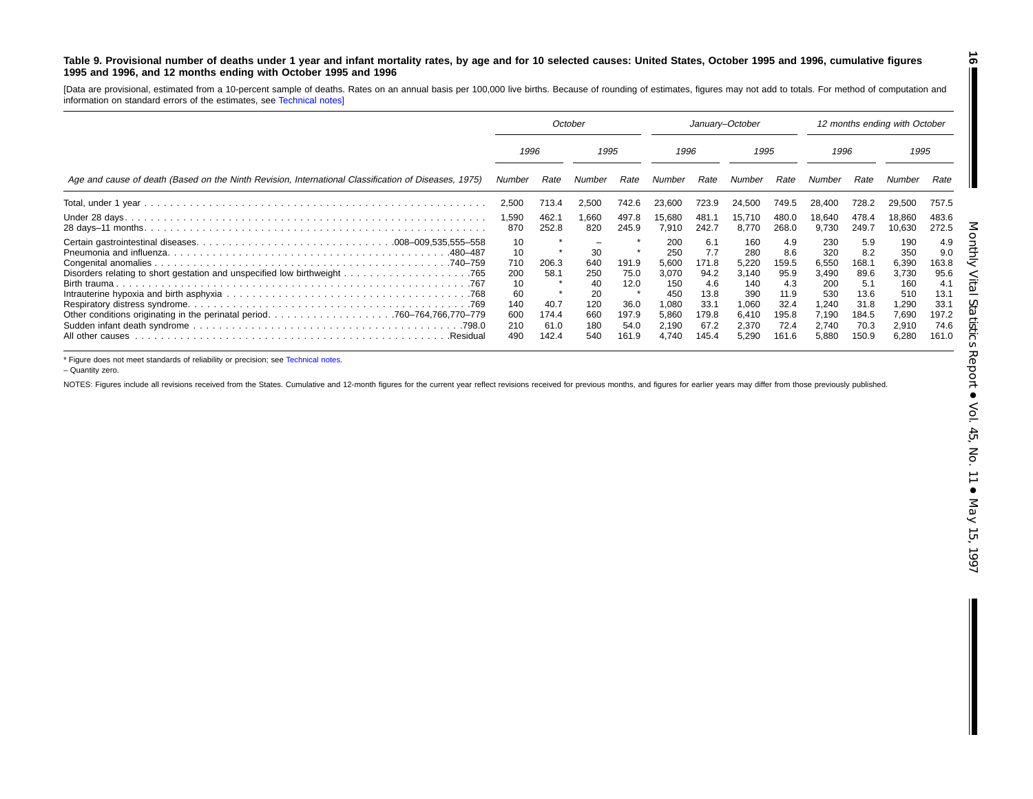#### Table 9. Provisional number of deaths under 1 year and infant mortality rates, by age and for 10 selected causes: United States, October 1995 and 1996, cumulative figures **1995 and 1996, and 12 months ending with October 1995 and 1996**

[Data are provisional, estimated from <sup>a</sup> 10-percent sample of deaths. Rates on an annual basis per 100,000 live births. Because of rounding of estimates, figures may not add to totals. For method of computation and information on standard errors of the estimates, see [Technical](#page-16-0) notes]

|                                                                                                      | October                                                        |                                                 |                                                          | January-October                                         |                                                                                |                                                                             |                                                                                | 12 months ending with October                                                |                                                                                |                                                                              |                                                                                |                                                                              |  |
|------------------------------------------------------------------------------------------------------|----------------------------------------------------------------|-------------------------------------------------|----------------------------------------------------------|---------------------------------------------------------|--------------------------------------------------------------------------------|-----------------------------------------------------------------------------|--------------------------------------------------------------------------------|------------------------------------------------------------------------------|--------------------------------------------------------------------------------|------------------------------------------------------------------------------|--------------------------------------------------------------------------------|------------------------------------------------------------------------------|--|
|                                                                                                      |                                                                | 1996                                            |                                                          | 1995                                                    |                                                                                | 1996                                                                        |                                                                                | 1995                                                                         |                                                                                | 1996                                                                         |                                                                                | 1995                                                                         |  |
| Age and cause of death (Based on the Ninth Revision, International Classification of Diseases, 1975) | Number                                                         | Rate                                            | Number                                                   | Rate                                                    | Number                                                                         | Rate                                                                        | Number                                                                         | Rate                                                                         | Number                                                                         | Rate                                                                         | Number                                                                         | Rate                                                                         |  |
|                                                                                                      | 2,500                                                          | 713.4                                           | 2,500                                                    | 742.6                                                   | 23,600                                                                         | 723.9                                                                       | 24,500                                                                         | 749.5                                                                        | 28.400                                                                         | 728.2                                                                        | 29,500                                                                         | 757.5                                                                        |  |
|                                                                                                      | 1,590<br>870                                                   | 462.1<br>252.8                                  | 1,660<br>820                                             | 497.8<br>245.9                                          | 15,680<br>7,910                                                                | 481.1<br>242.7                                                              | 15,710<br>8.770                                                                | 480.0<br>268.0                                                               | 18,640<br>9,730                                                                | 478.4<br>249.7                                                               | 18,860<br>10,630                                                               | 483.6<br>272.5                                                               |  |
| 480–487<br>All other causes<br>.Residual                                                             | 10<br>10<br>710<br>200<br>10<br>60<br>140<br>600<br>210<br>490 | 206.3<br>58.1<br>40.7<br>174.4<br>61.0<br>142.4 | 30<br>640<br>250<br>40<br>20<br>120<br>660<br>180<br>540 | 191.9<br>75.0<br>12.0<br>36.0<br>197.9<br>54.0<br>161.9 | 200<br>250<br>5,600<br>3,070<br>150<br>450<br>1,080<br>5,860<br>2,190<br>4,740 | 6.1<br>7.7<br>171.8<br>94.2<br>4.6<br>13.8<br>33.1<br>179.8<br>67.2<br>45.4 | 160<br>280<br>5,220<br>3,140<br>140<br>390<br>1.060<br>6,410<br>2,370<br>5,290 | 4.9<br>8.6<br>159.5<br>95.9<br>4.3<br>11.9<br>32.4<br>195.8<br>72.4<br>161.6 | 230<br>320<br>6,550<br>3,490<br>200<br>530<br>1,240<br>7,190<br>2,740<br>5,880 | 5.9<br>8.2<br>168.1<br>89.6<br>5.1<br>13.6<br>31.8<br>184.5<br>70.3<br>150.9 | 190<br>350<br>6,390<br>3,730<br>160<br>510<br>1,290<br>7,690<br>2,910<br>6,280 | 4.9<br>9.0<br>163.8<br>95.6<br>4.1<br>13.1<br>33.1<br>197.2<br>74.6<br>161.0 |  |

\* Figure does not meet standards of reliability or precision; see [Technical](#page-16-0) notes.

– Quantity zero.

NOTES: Figures include all revisions received from the States. Cumulative and 12-month figures for the current year reflect revisions received for previous months, and figures for earlier years may differ from those previo

**16**

П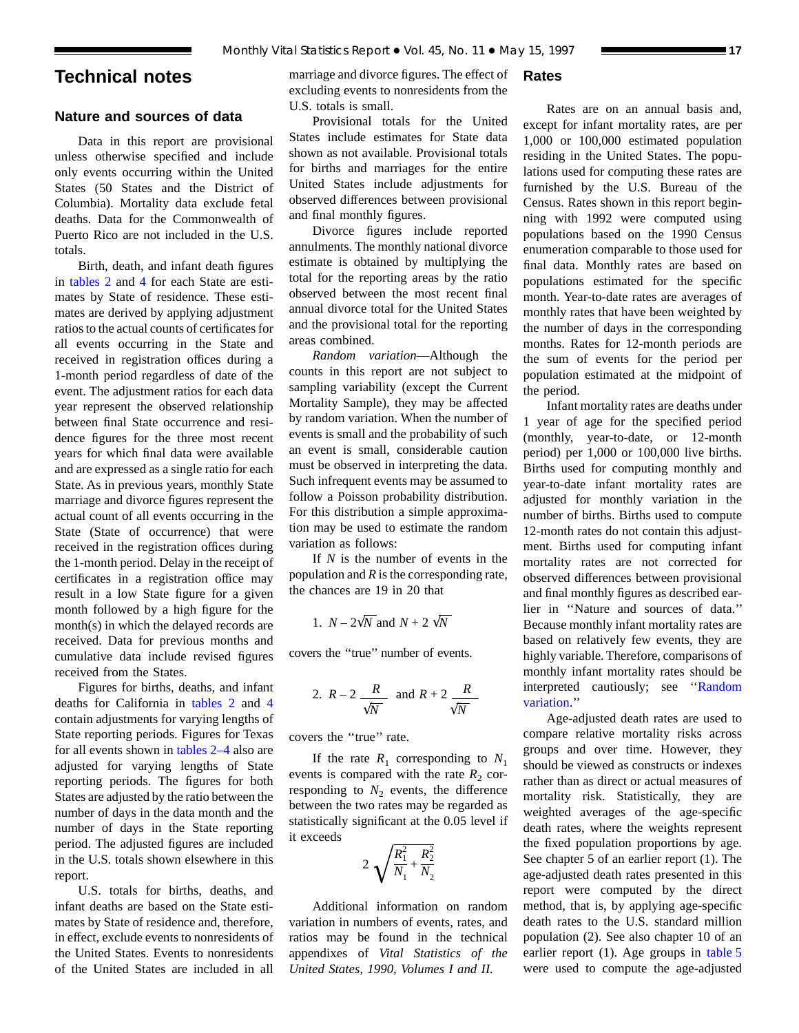## <span id="page-16-0"></span>**Technical notes**

## **Nature and sources of data**

Data in this report are provisional unless otherwise specified and include only events occurring within the United States (50 States and the District of Columbia). Mortality data exclude fetal deaths. Data for the Commonwealth of Puerto Rico are not included in the U.S. totals.

Birth, death, and infant death figures in [tables 2](#page-6-0) and [4](#page-8-0) for each State are estimates by State of residence. These estimates are derived by applying adjustment ratios to the actual counts of certificates for all events occurring in the State and received in registration offices during a 1-month period regardless of date of the event. The adjustment ratios for each data year represent the observed relationship between final State occurrence and residence figures for the three most recent years for which final data were available and are expressed as a single ratio for each State. As in previous years, monthly State marriage and divorce figures represent the actual count of all events occurring in the State (State of occurrence) that were received in the registration offices during the 1-month period. Delay in the receipt of certificates in a registration office may result in a low State figure for a given month followed by a high figure for the month(s) in which the delayed records are received. Data for previous months and cumulative data include revised figures received from the States.

Figures for births, deaths, and infant deaths for California in [tables 2](#page-6-0) and [4](#page-8-0) contain adjustments for varying lengths of State reporting periods. Figures for Texas for all events shown in [tables 2–4](#page-6-0) also are adjusted for varying lengths of State reporting periods. The figures for both States are adjusted by the ratio between the number of days in the data month and the number of days in the State reporting period. The adjusted figures are included in the U.S. totals shown elsewhere in this report.

U.S. totals for births, deaths, and infant deaths are based on the State estimates by State of residence and, therefore, in effect, exclude events to nonresidents of the United States. Events to nonresidents of the United States are included in all

marriage and divorce figures. The effect of excluding events to nonresidents from the U.S. totals is small.

Provisional totals for the United States include estimates for State data shown as not available. Provisional totals for births and marriages for the entire United States include adjustments for observed differences between provisional and final monthly figures.

Divorce figures include reported annulments. The monthly national divorce estimate is obtained by multiplying the total for the reporting areas by the ratio observed between the most recent final annual divorce total for the United States and the provisional total for the reporting areas combined.

*Random variation*—Although the counts in this report are not subject to sampling variability (except the Current Mortality Sample), they may be affected by random variation. When the number of events is small and the probability of such an event is small, considerable caution must be observed in interpreting the data. Such infrequent events may be assumed to follow a Poisson probability distribution. For this distribution a simple approximation may be used to estimate the random variation as follows:

If *N* is the number of events in the population and *R* is the corresponding rate, the chances are 19 in 20 that

1. 
$$
N - 2\sqrt{N}
$$
 and  $N + 2\sqrt{N}$ 

covers the ''true'' number of events.

2. 
$$
R-2
$$
  $\frac{R}{\sqrt{N}}$  and  $R+2$   $\frac{R}{\sqrt{N}}$ 

covers the ''true'' rate.

If the rate  $R_1$  corresponding to  $N_1$ events is compared with the rate  $R_2$  corresponding to  $N_2$  events, the difference between the two rates may be regarded as statistically significant at the 0.05 level if it exceeds

$$
2\sqrt{\frac{R_1^2}{N_1} + \frac{R_2^2}{N_2}}
$$

Additional information on random variation in numbers of events, rates, and ratios may be found in the technical appendixes of *Vital Statistics of the United States, 1990, Volumes I and II.*

## **Rates**

Rates are on an annual basis and, except for infant mortality rates, are per 1,000 or 100,000 estimated population residing in the United States. The populations used for computing these rates are furnished by the U.S. Bureau of the Census. Rates shown in this report beginning with 1992 were computed using populations based on the 1990 Census enumeration comparable to those used for final data. Monthly rates are based on populations estimated for the specific month. Year-to-date rates are averages of monthly rates that have been weighted by the number of days in the corresponding months. Rates for 12-month periods are the sum of events for the period per population estimated at the midpoint of the period.

Infant mortality rates are deaths under 1 year of age for the specified period (monthly, year-to-date, or 12-month period) per 1,000 or 100,000 live births. Births used for computing monthly and year-to-date infant mortality rates are adjusted for monthly variation in the number of births. Births used to compute 12-month rates do not contain this adjustment. Births used for computing infant mortality rates are not corrected for observed differences between provisional and final monthly figures as described earlier in ''Nature and sources of data.'' Because monthly infant mortality rates are based on relatively few events, they are highly variable. Therefore, comparisons of monthly infant mortality rates should be interpreted cautiously; see ''Random variation.''

Age-adjusted death rates are used to compare relative mortality risks across groups and over time. However, they should be viewed as constructs or indexes rather than as direct or actual measures of mortality risk. Statistically, they are weighted averages of the age-specific death rates, where the weights represent the fixed population proportions by age. See chapter 5 of an earlier report (1). The age-adjusted death rates presented in this report were computed by the direct method, that is, by applying age-specific death rates to the U.S. standard million population (2). See also chapter 10 of an earlier report (1). Age groups in [table 5](#page-9-0) were used to compute the age-adjusted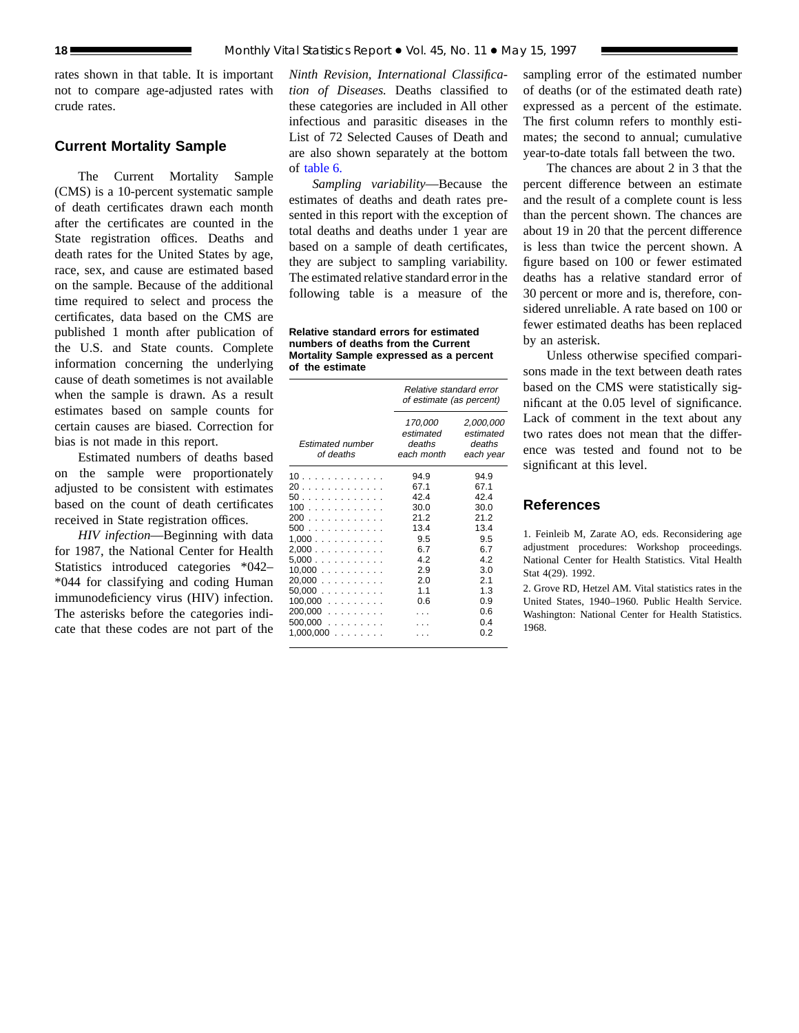rates shown in that table. It is important not to compare age-adjusted rates with crude rates.

## **Current Mortality Sample**

The Current Mortality Sample (CMS) is a 10-percent systematic sample of death certificates drawn each month after the certificates are counted in the State registration offices. Deaths and death rates for the United States by age, race, sex, and cause are estimated based on the sample. Because of the additional time required to select and process the certificates, data based on the CMS are published 1 month after publication of the U.S. and State counts. Complete information concerning the underlying cause of death sometimes is not available when the sample is drawn. As a result estimates based on sample counts for certain causes are biased. Correction for bias is not made in this report.

Estimated numbers of deaths based on the sample were proportionately adjusted to be consistent with estimates based on the count of death certificates received in State registration offices.

*HIV infection*—Beginning with data for 1987, the National Center for Health Statistics introduced categories \*042– \*044 for classifying and coding Human immunodeficiency virus (HIV) infection. The asterisks before the categories indicate that these codes are not part of the

*Ninth Revision, International Classification of Diseases.* Deaths classified to these categories are included in All other infectious and parasitic diseases in the List of 72 Selected Causes of Death and are also shown separately at the bottom of [table 6.](#page-12-0)

*Sampling variability*—Because the estimates of deaths and death rates presented in this report with the exception of total deaths and deaths under 1 year are based on a sample of death certificates, they are subject to sampling variability. The estimated relative standard error in the following table is a measure of the

**Relative standard errors for estimated numbers of deaths from the Current Mortality Sample expressed as a percent of the estimate**

|                                                                                                                                      | Relative standard error<br>of estimate (as percent)                                         |                                                                                                         |  |  |  |  |  |  |
|--------------------------------------------------------------------------------------------------------------------------------------|---------------------------------------------------------------------------------------------|---------------------------------------------------------------------------------------------------------|--|--|--|--|--|--|
| <b>Estimated number</b><br>of deaths                                                                                                 | 170,000<br>estimated<br>deaths<br>each month                                                | 2,000,000<br>estimated<br>deaths<br>each year                                                           |  |  |  |  |  |  |
| 10<br>20<br>50.<br>100<br>200<br>500<br>1.000<br>2,000<br>5,000<br>10,000<br>20,000<br>50.000<br>$100,000$<br>$200,000$<br>$500,000$ | 94.9<br>67.1<br>424<br>30.0<br>212<br>13.4<br>9.5<br>6.7<br>4.2<br>2.9<br>2.0<br>1.1<br>0.6 | 94.9<br>67.1<br>424<br>30.0<br>212<br>13.4<br>9.5<br>6.7<br>42<br>3.0<br>2.1<br>1.3<br>0.9<br>0.6<br>04 |  |  |  |  |  |  |
| $1,000,000$                                                                                                                          |                                                                                             | 0 2                                                                                                     |  |  |  |  |  |  |

sampling error of the estimated number of deaths (or of the estimated death rate) expressed as a percent of the estimate. The first column refers to monthly estimates; the second to annual; cumulative year-to-date totals fall between the two.

The chances are about 2 in 3 that the percent difference between an estimate and the result of a complete count is less than the percent shown. The chances are about 19 in 20 that the percent difference is less than twice the percent shown. A figure based on 100 or fewer estimated deaths has a relative standard error of 30 percent or more and is, therefore, considered unreliable. A rate based on 100 or fewer estimated deaths has been replaced by an asterisk.

Unless otherwise specified comparisons made in the text between death rates based on the CMS were statistically significant at the 0.05 level of significance. Lack of comment in the text about any two rates does not mean that the difference was tested and found not to be significant at this level.

## **References**

1. Feinleib M, Zarate AO, eds. Reconsidering age adjustment procedures: Workshop proceedings. National Center for Health Statistics. Vital Health Stat 4(29). 1992.

2. Grove RD, Hetzel AM. Vital statistics rates in the United States, 1940–1960. Public Health Service. Washington: National Center for Health Statistics. 1968.